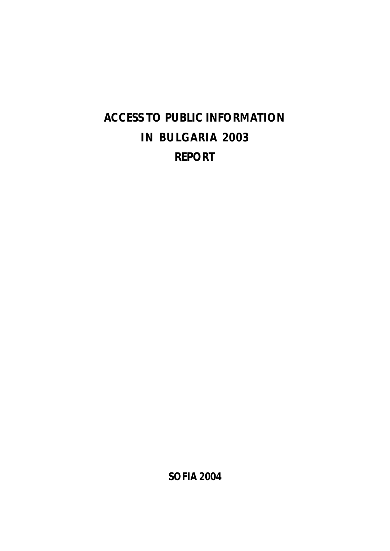# **ACCESS TO PUBLIC INFORMATION IN BULGARIA 2003 REPORT**

**SOFIA 2004**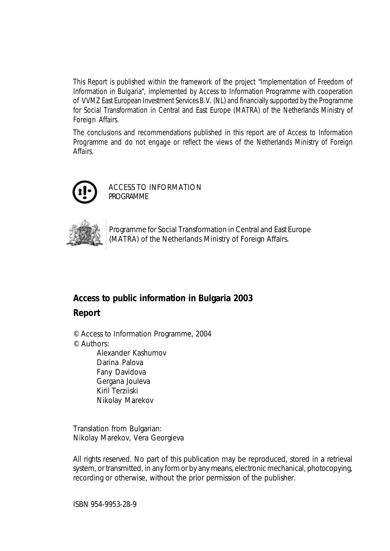*This Report is published within the framework of the project "Implementation of Freedom of Information in Bulgaria", implemented by Access to Information Programme with cooperation of VVMZ East European Investment Services B.V. (NL) andfinancially supportedby the Programme for Social Transformation in Central and East Europe (MATRA) of the Netherlands Ministry of Foreign Affairs.*

*The conclusions and recommendations published in this report are of Access to Information Programme and do not engage or reflect the views of the Netherlands Ministry of Foreign Affairs.*



ACCESS TO INFORMATION **PROGRAMME** 



Programme for Social Transformation in Central and East Europe (MATRA) of the Netherlands Ministry of Foreign Affairs.

# **Access to public information in Bulgaria 2003**

**Report**

©Access to Information Programme, 2004 ©Authors:

Alexander Kashumov Darina Palova Fany Davidova Gergana Jouleva Kiril Terziiski Nikolay Marekov

Translation from Bulgarian: Nikolay Marekov, Vera Georgieva

All rights reserved. No part of this publication may be reproduced, stored in a retrieval system, or transmitted, in any form or by any means, electronic mechanical, photocopying, recording or otherwise, without the prior permission of the publisher.

ISBN 954-9953-28-9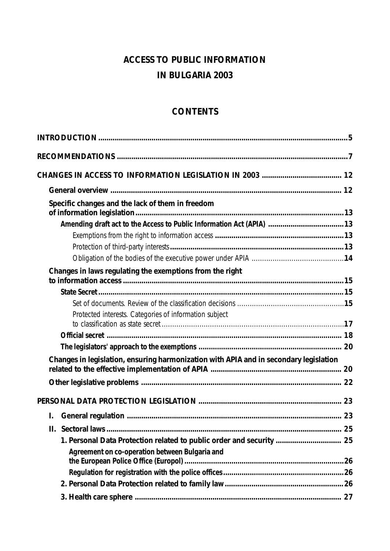# **ACCESS TO PUBLIC INFORMATION IN BULGARIA 2003**

# **CONTENTS**

| Specific changes and the lack of them in freedom                                      |  |
|---------------------------------------------------------------------------------------|--|
|                                                                                       |  |
|                                                                                       |  |
|                                                                                       |  |
|                                                                                       |  |
| Changes in laws regulating the exemptions from the right                              |  |
|                                                                                       |  |
|                                                                                       |  |
| Protected interests. Categories of information subject                                |  |
|                                                                                       |  |
|                                                                                       |  |
| Changes in legislation, ensuring harmonization with APIA and in secondary legislation |  |
|                                                                                       |  |
|                                                                                       |  |
| I.                                                                                    |  |
|                                                                                       |  |
| 1. Personal Data Protection related to public order and security  25                  |  |
| Agreement on co-operation between Bulgaria and                                        |  |
|                                                                                       |  |
|                                                                                       |  |
|                                                                                       |  |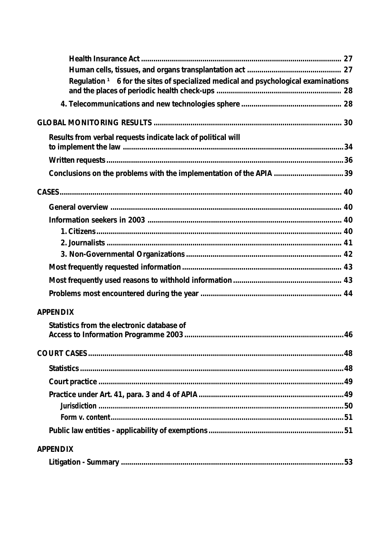| Regulation <sup>1</sup> 6 for the sites of specialized medical and psychological examinations |  |
|-----------------------------------------------------------------------------------------------|--|
|                                                                                               |  |
|                                                                                               |  |
| Results from verbal requests indicate lack of political will                                  |  |
|                                                                                               |  |
|                                                                                               |  |
|                                                                                               |  |
|                                                                                               |  |
|                                                                                               |  |
|                                                                                               |  |
|                                                                                               |  |
|                                                                                               |  |
|                                                                                               |  |
|                                                                                               |  |
|                                                                                               |  |
| <b>APPENDIX</b>                                                                               |  |
| Statistics from the electronic database of                                                    |  |
|                                                                                               |  |
|                                                                                               |  |
|                                                                                               |  |
|                                                                                               |  |
|                                                                                               |  |
|                                                                                               |  |
|                                                                                               |  |
|                                                                                               |  |
| <b>APPENDIX</b>                                                                               |  |
|                                                                                               |  |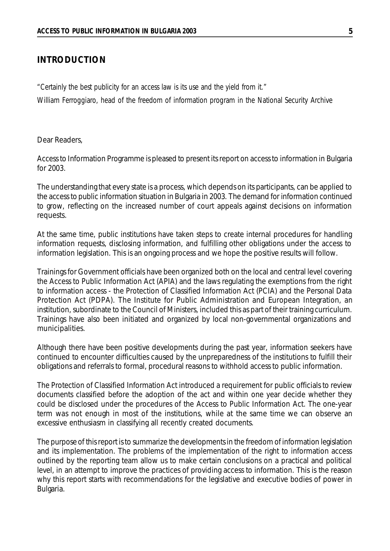#### **INTRODUCTION**

*"Certainly the best publicity for an access law is its use and the yield from it." William Ferroggiaro, head of the freedom of information program in the National Security Archive*

Dear Readers,

Access to Information Programme is pleased to present its report on access to information in Bulgaria for 2003.

The understanding that every state is a process, which depends on its participants, can be applied to the access to public information situation in Bulgaria in 2003. The demand for information continued to grow, reflecting on the increased number of court appeals against decisions on information requests.

At the same time, public institutions have taken steps to create internal procedures for handling information requests, disclosing information, and fulfilling other obligations under the access to information legislation. This is an ongoing process and we hope the positive results will follow.

Trainings for Government officials have been organized both on the local and central level covering the Access to Public Information Act (APIA) and the laws regulating the exemptions from the right to information access - the Protection of Classified Information Act (PCIA) and the Personal Data Protection Act (PDPA). The Institute for Public Administration and European Integration, an institution, subordinate to the Council of Ministers, included this as part of their training curriculum. Trainings have also been initiated and organized by local non-governmental organizations and municipalities.

Although there have been positive developments during the past year, information seekers have continued to encounter difficulties caused by the unpreparedness of the institutions to fulfill their obligations and referrals to formal, procedural reasons to withhold access to public information.

The Protection of Classified Information Act introduced a requirement for public officials to review documents classified before the adoption of the act and within one year decide whether they could be disclosed under the procedures of the Access to Public Information Act. The one-year term was not enough in most of the institutions, while at the same time we can observe an excessive enthusiasm in classifying all recently created documents.

The purpose of this report isto summarize the developmentsin the freedom of information legislation and its implementation. The problems of the implementation of the right to information access outlined by the reporting team allow us to make certain conclusions on a practical and political level, in an attempt to improve the practices of providing access to information. This is the reason why this report starts with recommendations for the legislative and executive bodies of power in Bulgaria.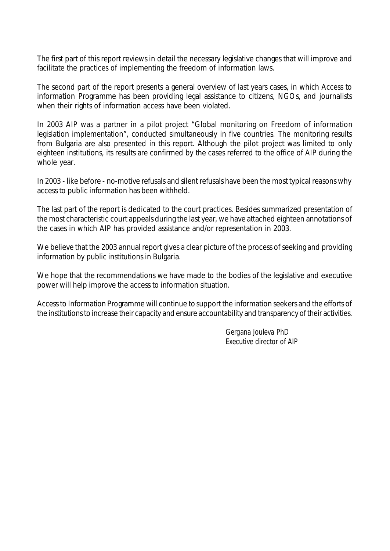The first part of this report reviews in detail the necessary legislative changes that will improve and facilitate the practices of implementing the freedom of information laws.

The second part of the report presents a general overview of last years cases, in which Access to information Programme has been providing legal assistance to citizens, NGOs, and journalists when their rights of information access have been violated.

In 2003 AIP was a partner in a pilot project "Global monitoring on Freedom of information legislation implementation", conducted simultaneously in five countries. The monitoring results from Bulgaria are also presented in this report. Although the pilot project was limited to only eighteen institutions, its results are confirmed by the cases referred to the office of AIP during the whole year.

In 2003 - like before - no-motive refusals and silent refusals have been the most typical reasons why access to public information has been withheld.

The last part of the report is dedicated to the court practices. Besides summarized presentation of the most characteristic court appeals during the last year, we have attached eighteen annotations of the cases in which AIP has provided assistance and/or representation in 2003.

We believe that the 2003 annual report gives a clear picture of the process of seeking and providing information by public institutions in Bulgaria.

We hope that the recommendations we have made to the bodies of the legislative and executive power will help improve the access to information situation.

Access to Information Programme will continue to support the information seekers and the efforts of the institutions to increase their capacity and ensure accountability and transparency of their activities.

> *Gergana Jouleva PhD Executive director of AIP*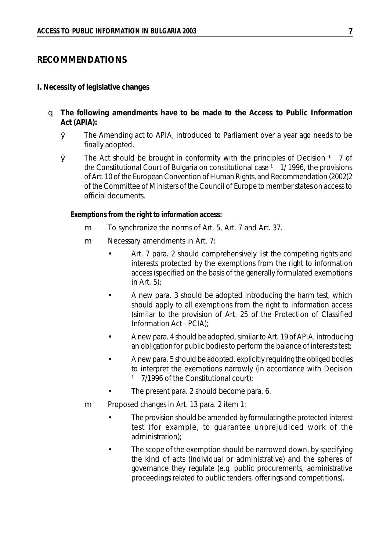#### **RECOMMENDATIONS**

#### **I. Necessity of legislative changes**

- q **The following amendments have to be made to the Access to Public Information Act (APIA):**
	- Ø The Amending act to APIA, introduced to Parliament over a year ago needs to be finally adopted.
	- $\boldsymbol{\emptyset}$  The Act should be brought in conformity with the principles of Decision  $\boldsymbol{\beta}$  7 of the Constitutional Court of Bulgaria on constitutional case  $1$  1/ 1996, the provisions of Art. 10 of the European Convention of Human Rights, and Recommendation (2002)2 of the Committee of Ministers of the Council of Europe to member states on access to official documents.

#### *Exemptions from the right to information access:*

- m To synchronize the norms of Art. 5, Art. 7 and Art. 37.
- m Necessary amendments in Art. 7:
	- Art. 7 para. 2 should comprehensively list the competing rights and interests protected by the exemptions from the right to information access (specified on the basis of the generally formulated exemptions in Art. 5);
	- A new para. 3 should be adopted introducing the harm test, which should apply to all exemptions from the right to information access (similar to the provision of Art. 25 of the Protection of Classified Information Act - PCIA);
	- A new para. 4 should be adopted,similar to Art. 19 of APIA, introducing an obligation for public bodies to perform the balance of interests test;
	- A new para. 5 should be adopted, explicitly requiring the obliged bodies to interpret the exemptions narrowly (in accordance with Decision <sup>1</sup> 7/1996 of the Constitutional court);
	- The present para. 2 should become para. 6.
- m Proposed changes in Art. 13 para. 2 item 1:
	- The provision should be amended by formulating the protected interest test (for example, to guarantee unprejudiced work of the administration);
	- The scope of the exemption should be narrowed down, by specifying the kind of acts (individual or administrative) and the spheres of governance they regulate (e.g. public procurements, administrative proceedings related to public tenders, offerings and competitions).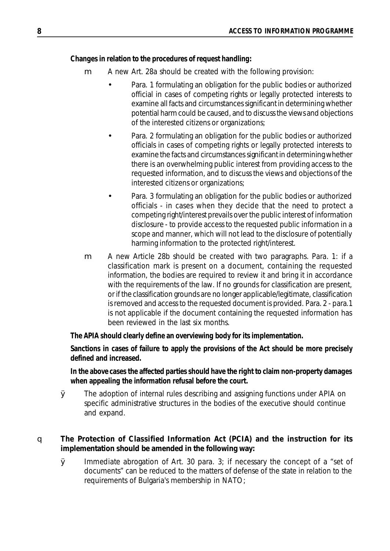## *Changes in relation to the procedures of request handling:*

- m A new Art. 28a should be created with the following provision:
	- Para. 1 formulating an obligation for the public bodies or authorized official in cases of competing rights or legally protected interests to examine all facts and circumstances significant in determining whether potential harm could be caused, and to discussthe views and objections of the interested citizens or organizations;
	- Para. 2 formulating an obligation for the public bodies or authorized officials in cases of competing rights or legally protected interests to examine the facts and circumstances significant in determining whether there is an overwhelming public interest from providing access to the requested information, and to discuss the views and objections of the interested citizens or organizations;
	- Para. 3 formulating an obligation for the public bodies or authorized officials - in cases when they decide that the need to protect a competing right/interest prevails over the public interest of information disclosure - to provide access to the requested public information in a scope and manner, which will not lead to the disclosure of potentially harming information to the protected right/interest.
- m A new Article 28b should be created with two paragraphs. Para. 1: if a classification mark is present on a document, containing the requested information, the bodies are required to review it and bring it in accordance with the requirements of the law. If no grounds for classification are present, or if the classification grounds are no longer applicable/legitimate, classification is removed and access to the requested document is provided. Para. 2 - para.1 is not applicable if the document containing the requested information has been reviewed in the last six months.

*The APIA should clearly define an overviewing body for its implementation.*

*Sanctions in cases of failure to apply the provisions of the Act should be more precisely defined and increased.*

*In the above cases the affected partiesshould have the right to claim non-property damages when appealing the information refusal before the court.*

- Ø The adoption of internal rules describing and assigning functions under APIA on specific administrative structures in the bodies of the executive should continue and expand.
- q **The Protection of Classified Information Act (PCIA) and the instruction for its implementation should be amended in the following way:**
	- $\boldsymbol{\mathcal{Q}}$  Immediate abrogation of Art. 30 para. 3; if necessary the concept of a "set of documents" can be reduced to the matters of defense of the state in relation to the requirements of Bulgaria's membership in NATO;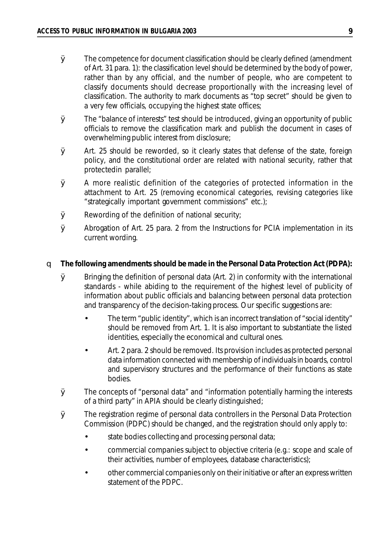- $\varnothing$  The competence for document classification should be clearly defined (amendment of Art. 31 para. 1): the classification level should be determined by the body of power, rather than by any official, and the number of people, who are competent to classify documents should decrease proportionally with the increasing level of classification. The authority to mark documents as "top secret" should be given to a very few officials, occupying the highest state offices;
- $\boldsymbol{\mathcal{D}}$  The "balance of interests" test should be introduced, giving an opportunity of public officials to remove the classification mark and publish the document in cases of overwhelming public interest from disclosure;
- Ø Art. 25 should be reworded, so it clearly states that defense of the state, foreign policy, and the constitutional order are related with national security, rather that protectedin parallel;
- Ø A more realistic definition of the categories of protected information in the attachment to Art. 25 (removing economical categories, revising categories like "strategically important government commissions" etc.);
- $\boldsymbol{\emptyset}$  Rewording of the definition of national security;
- Ø Abrogation of Art. 25 para. 2 from the Instructions for PCIA implementation in its current wording.

#### q **The following amendments should be made in the Personal Data Protection Act (PDPA):**

- $\emptyset$  Bringing the definition of personal data (Art. 2) in conformity with the international standards - while abiding to the requirement of the highest level of publicity of information about public officials and balancing between personal data protection and transparency of the decision-taking process. Our specific suggestions are:
	- The term "public identity", which is an incorrect translation of "social identity" should be removed from Art. 1. It is also important to substantiate the listed identities, especially the economical and cultural ones.
	- Art. 2 para. 2 should be removed. Its provision includes as protected personal data information connected with membership of individuals in boards, control and supervisory structures and the performance of their functions as state bodies.
- Ø The concepts of "personal data" and "information potentially harming the interests of a third party" in APIA should be clearly distinguished;
- Ø The registration regime of personal data controllers in the Personal Data Protection Commission (PDPC) should be changed, and the registration should only apply to:
	- state bodies collecting and processing personal data;
	- commercial companies subject to objective criteria (e.g.: scope and scale of their activities, number of employees, database characteristics);
	- other commercial companies only on their initiative or after an express written statement of the PDPC.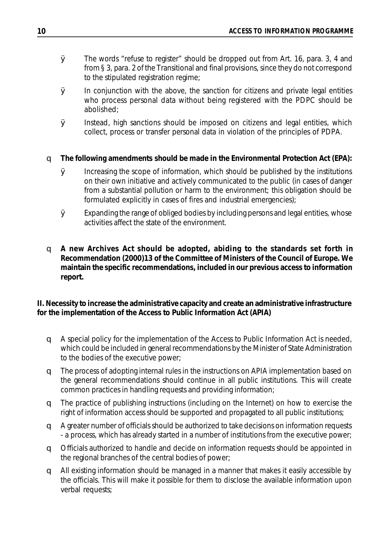- Ø The words "refuse to register" should be dropped out from Art. 16, para. 3, 4 and from § 3, para. 2 of the Transitional and final provisions, since they do not correspond to the stipulated registration regime;
- $\boldsymbol{\emptyset}$  In conjunction with the above, the sanction for citizens and private legal entities who process personal data without being registered with the PDPC should be abolished;
- Ø Instead, high sanctions should be imposed on citizens and legal entities, which collect, process or transfer personal data in violation of the principles of PDPA.
- q **The following amendments should be made in the Environmental Protection Act (EPA):**
	- Ø Increasing the scope of information, which should be published by the institutions on their own initiative and actively communicated to the public (in cases of danger from a substantial pollution or harm to the environment; this obligation should be formulated explicitly in cases of fires and industrial emergencies);
	- $\varnothing$  Expanding the range of obliged bodies by including persons and legal entities, whose activities affect the state of the environment.
- q **A new Archives Act should be adopted, abiding to the standards set forth in Recommendation (2000)13 of the Committee of Ministers of the Council of Europe. We maintain the specific recommendations, included in our previous access to information report.**

**II. Necessity to increase the administrative capacity and create an administrative infrastructure for the implementation of the Access to Public Information Act (APIA)**

- q A special policy for the implementation of the Access to Public Information Act is needed, which could be included in general recommendations by the Minister of State Administration to the bodies of the executive power;
- q The process of adopting internal rules in the instructions on APIA implementation based on the general recommendations should continue in all public institutions. This will create common practices in handling requests and providing information;
- q The practice of publishing instructions (including on the Internet) on how to exercise the right of information access should be supported and propagated to all public institutions;
- q A greater number of officials should be authorized to take decisions on information requests - a process, which has already started in a number of institutions from the executive power;
- q Officials authorized to handle and decide on information requests should be appointed in the regional branches of the central bodies of power;
- q All existing information should be managed in a manner that makes it easily accessible by the officials. This will make it possible for them to disclose the available information upon verbal requests;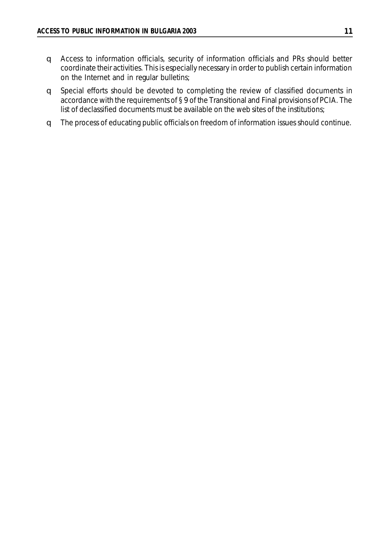- q Access to information officials, security of information officials and PRs should better coordinate their activities. This is especially necessary in order to publish certain information on the Internet and in regular bulletins;
- q Special efforts should be devoted to completing the review of classified documents in accordance with the requirements of § 9 of the Transitional and Final provisions of PCIA. The list of declassified documents must be available on the web sites of the institutions;
- q The process of educating public officials on freedom of information issues should continue.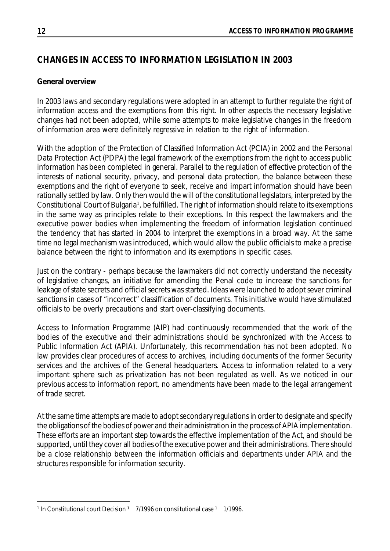# **CHANGES IN ACCESS TO INFORMATION LEGISLATION IN 2003**

# **General overview**

In 2003 laws and secondary regulations were adopted in an attempt to further regulate the right of information access and the exemptions from this right. In other aspects the necessary legislative changes had not been adopted, while some attempts to make legislative changes in the freedom of information area were definitely regressive in relation to the right of information.

With the adoption of the Protection of Classified Information Act (PCIA) in 2002 and the Personal Data Protection Act (PDPA) the legal framework of the exemptions from the right to access public information has been completed in general. Parallel to the regulation of effective protection of the interests of national security, privacy, and personal data protection, the balance between these exemptions and the right of everyone to seek, receive and impart information should have been rationally settled by law. Only then would the will of the constitutional legislators, interpreted by the Constitutional Court of Bulgaria<sup>1</sup>, be fulfilled. The right of information should relate to its exemptions in the same way as principles relate to their exceptions. In this respect the lawmakers and the executive power bodies when implementing the freedom of information legislation continued the tendency that has started in 2004 to interpret the exemptions in a broad way. At the same time no legal mechanism was introduced, which would allow the public officials to make a precise balance between the right to information and its exemptions in specific cases.

Just on the contrary - perhaps because the lawmakers did not correctly understand the necessity of legislative changes, an initiative for amending the Penal code to increase the sanctions for leakage of state secrets and official secrets was started. Ideas were launched to adopt sever criminal sanctions in cases of "incorrect" classiffication of documents. This initiative would have stimulated officials to be overly precautions and start over-classifying documents.

Access to Information Programme (AIP) had continuously recommended that the work of the bodies of the executive and their administrations should be synchronized with the Access to Public Information Act (APIA). Unfortunately, this recommendation has not been adopted. No law provides clear procedures of access to archives, including documents of the former Security services and the archives of the General headquarters. Access to information related to a very important sphere such as privatization has not been regulated as well. As we noticed in our previous access to information report, no amendments have been made to the legal arrangement of trade secret.

At the same time attempts are made to adopt secondary regulations in order to designate and specify the obligations of the bodies of power and their administration in the process of APIA implementation. These efforts are an important step towards the effective implementation of the Act, and should be supported, until they cover all bodies of the executive power and their administrations. There should be a close relationship between the information officials and departments under APIA and the structures responsible for information security.

<sup>&</sup>lt;sup>1</sup> In Constitutional court Decision <sup>1</sup> 7/1996 on constitutional case <sup>1</sup> 1/1996.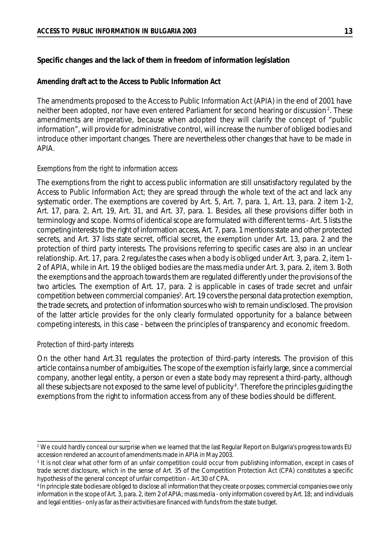# **Specific changes and the lack of them in freedom of information legislation**

#### *Amending draft act to the Access to Public Information Act*

The amendments proposed to the Access to Public Information Act (APIA) in the end of 2001 have neither been adopted, nor have even entered Parliament for second hearing or discussion<sup>2</sup>. These amendments are imperative, because when adopted they will clarify the concept of "public information", will provide for administrative control, will increase the number of obliged bodies and introduce other important changes. There are nevertheless other changes that have to be made in APIA.

#### *Exemptions from the right to information access*

The exemptions from the right to access public information are still unsatisfactory regulated by the Access to Public Information Act; they are spread through the whole text of the act and lack any systematic order. The exemptions are covered by Art. 5, Art. 7, para. 1, Art. 13, para. 2 item 1-2, Art. 17, para. 2, Art. 19, Art. 31, and Art. 37, para. 1. Besides, all these provisions differ both in terminology and scope. Norms of identical scope are formulated with different terms - Art. 5 lists the competing interests to the right of information access, Art. 7, para. 1 mentions state and other protected secrets, and Art. 37 lists state secret, official secret, the exemption under Art. 13, para. 2 and the protection of third party interests. The provisions referring to specific cases are also in an unclear relationship. Art. 17, para. 2 regulates the cases when a body is obliged under Art. 3, para. 2, item 1- 2 of APIA, while in Art. 19 the obliged bodies are the mass media under Art. 3, para. 2, item 3. Both the exemptions and the approach towards them are regulated differently under the provisions of the two articles. The exemption of Art. 17, para. 2 is applicable in cases of trade secret and unfair  $\,$  competition between commercial companies $^3$ . Art. 19 covers the personal data protection exemption, the trade secrets, and protection of information sources who wish to remain undisclosed. The provision of the latter article provides for the only clearly formulated opportunity for a balance between competing interests, in this case - between the principles of transparency and economic freedom.

## *Protection of third-party interests*

On the other hand Art.31 regulates the protection of third-party interests. The provision of this article contains a number of ambiguities. The scope of the exemption is fairly large, since a commercial company, another legal entity, a person or even a state body may represent a third-party, although all these subjects are not exposed to the same level of publicity <sup>4</sup> . Therefore the principles guiding the exemptions from the right to information access from any of these bodies should be different.

<sup>&</sup>lt;sup>2</sup> We could hardly conceal our surprise when we learned that the last Regular Report on Bulgaria's progress towards EU accession rendered an account of amendments made in APIA in May 2003.

<sup>3</sup> It is not clear what other form of an unfair competition could occur from publishing information, except in cases of trade secret disclosure, which in the sense of Art. 35 of the Competition Protection Act (CPA) constitutes a specific hypothesis of the general concept of unfair competition - Art.30 of CPA.

<sup>4</sup> In principle state bodies are obliged to disclose all information that they create orposses; commercial companies owe only information in the scope of Art. 3, para. 2, item 2 of APIA; mass media - only information covered by Art. 18; and individuals and legal entities - only as far as their activities are financed with funds from the state budget.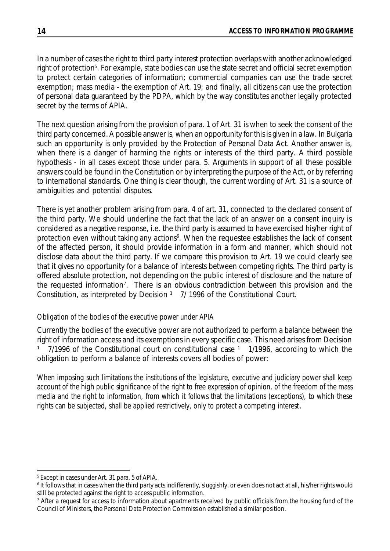In a number of cases the right to third party interest protection overlaps with another acknowledged right of protection<sup>5</sup>. For example, state bodies can use the state secret and official secret exemption to protect certain categories of information; commercial companies can use the trade secret exemption; mass media - the exemption of Art. 19; and finally, all citizens can use the protection of personal data guaranteed by the PDPA, which by the way constitutes another legally protected secret by the terms of APIA.

The next question arising from the provision of para. 1 of Art. 31 is when to seek the consent of the third party concerned. A possible answer is, when an opportunity for this is given in a law. In Bulgaria such an opportunity is only provided by the Protection of Personal Data Act. Another answer is, when there is a danger of harming the rights or interests of the third party. A third possible hypothesis - in all cases except those under para. 5. Arguments in support of all these possible answers could be found in the Constitution or by interpreting the purpose of the Act, or by referring to international standards. One thing is clear though, the current wording of Art. 31 is a source of ambiguities and potential disputes.

There is yet another problem arising from para. 4 of art. 31, connected to the declared consent of the third party. We should underline the fact that the lack of an answer on a consent inquiry is considered as a negative response, i.e. the third party is assumed to have exercised his/her right of protection even without taking any actions<sup>6</sup>. When the requestee establishes the lack of consent of the affected person, it should provide information in a form and manner, which should not disclose data about the third party. If we compare this provision to Art. 19 we could clearly see that it gives no opportunity for a balance of interests between competing rights. The third party is offered absolute protection, not depending on the public interest of disclosure and the nature of the requested information<sup>7</sup>. There is an obvious contradiction between this provision and the Constitution, as interpreted by Decision  $1$  7/ 1996 of the Constitutional Court.

## *Obligation of the bodies of the executive power under APIA*

Currently the bodies of the executive power are not authorized to perform a balance between the right of information access and its exemptions in every specific case. This need arises from Decision  $1$  7/1996 of the Constitutional court on constitutional case  $1$  1/1996, according to which the obligation to perform a balance of interests covers all bodies of power:

*When imposing such limitations the institutions of the legislature, executive and judiciary power shall keep account of the high public significance of the right to free expression of opinion, of the freedom of the mass* media and the right to information, from which it follows that the limitations (exceptions), to which these *rights can be subjected, shall be applied restrictively, only to protect a competing interest*.

<sup>5</sup> Except in cases under Art. 31 para. 5 of APIA.

<sup>6</sup> It follows that in cases when the third party acts indifferently, sluggishly, or even does not act at all, his/her rights would still be protected against the right to access public information.

<sup>&</sup>lt;sup>7</sup> After a request for access to information about apartments received by public officials from the housing fund of the Council of Ministers, the Personal Data Protection Commission established a similar position.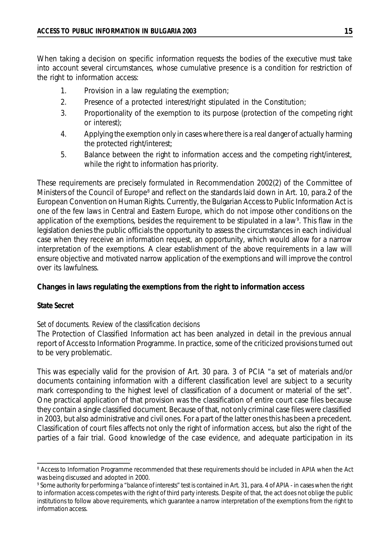When taking a decision on specific information requests the bodies of the executive must take into account several circumstances, whose cumulative presence is a condition for restriction of the right to information access:

- 1. Provision in a law regulating the exemption;
- 2. Presence of a protected interest/right stipulated in the Constitution;
- 3. Proportionality of the exemption to its purpose (protection of the competing right or interest);
- 4. Applying the exemption only in cases where there is a real danger of actually harming the protected right/interest;
- 5. Balance between the right to information access and the competing right/interest, while the right to information has priority.

These requirements are precisely formulated in Recommendation 2002(2) of the Committee of Ministers of the Council of Europe<sup>8</sup> and reflect on the standards laid down in Art. 10, para.2 of the European Convention on Human Rights. Currently, the Bulgarian Access to Public Information Act is one of the few laws in Central and Eastern Europe, which do not impose other conditions on the application of the exemptions, besides the requirement to be stipulated in a law<sup>9</sup>. This flaw in the legislation denies the public officials the opportunity to assess the circumstances in each individual case when they receive an information request, an opportunity, which would allow for a narrow interpretation of the exemptions. A clear establishment of the above requirements in a law will ensure objective and motivated narrow application of the exemptions and will improve the control over its lawfulness.

#### **Changes in laws regulating the exemptions from the right to information access**

#### *State Secret*

#### *Set of documents. Review of the classification decisions*

The Protection of Classified Information act has been analyzed in detail in the previous annual report of Accessto Information Programme. In practice, some of the criticized provisions turned out to be very problematic.

This was especially valid for the provision of Art. 30 para. 3 of PCIA "a set of materials and/or documents containing information with a different classification level are subject to a security mark corresponding to the highest level of classification of a document or material of the set". One practical application of that provision was the classification of entire court case files because they contain a single classified document. Because of that, not only criminal case files were classified in 2003, but also administrative and civil ones. For a part of the latter ones this has been a precedent. Classification of court files affects not only the right of information access, but also the right of the parties of a fair trial. Good knowledge of the case evidence, and adequate participation in its

<sup>&</sup>lt;sup>8</sup> Access to Information Programme recommended that these requirements should be included in APIA when the Act was being discussed and adopted in 2000.

<sup>9</sup> Some authority for performing a "balance of interests" test is contained in Art. 31, para. 4 of APIA - in cases when the right to information access competes with the right of third party interests. Despite of that, the act does not oblige the public institutions to follow above requirements, which guarantee a narrow interpretation of the exemptions from the right to information access.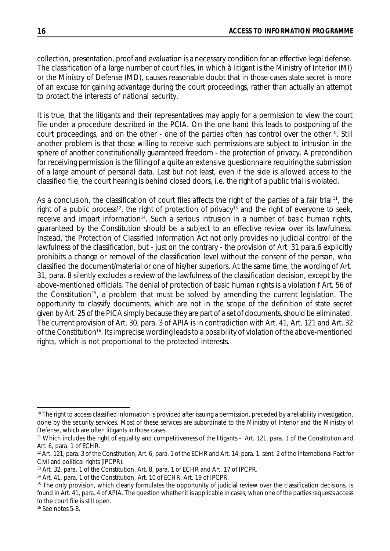collection, presentation, proof and evaluation is a necessary condition for an effective legal defense. The classification of a large number of court files, in which à litigant is the Ministry of Interior (MI) or the Ministry of Defense (MD), causes reasonable doubt that in those cases state secret is more of an excuse for gaining advantage during the court proceedings, rather than actually an attempt to protect the interests of national security.

It is true, that the litigants and their representatives may apply for a permission to view the court file under a procedure described in the PCIA. On the one hand this leads to postponing of the court proceedings, and on the other - one of the parties often has control over the other<sup>10</sup>. Still another problem is that those willing to receive such permissions are subject to intrusion in the sphere of another constitutionally guaranteed freedom - the protection of privacy. A precondition for receiving permission is the filling of a quite an extensive questionnaire requiring the submission of a large amount of personal data. Last but not least, even if the side is allowed access to the classified file, the court hearing is behind closed doors, i.e. the right of a public trial is violated.

As a conclusion, the classification of court files affects the right of the parties of a fair trial<sup>11</sup>, the right of a public process<sup>12</sup>, the right of protection of privacy<sup>13</sup> and the right of everyone to seek, receive and impart information<sup>14</sup>. Such a serious intrusion in a number of basic human rights, guaranteed by the Constitution should be a subject to an effective review over its lawfulness. Instead, the Protection of Classified Information Act not only provides no judicial control of the lawfulness of the classification, but - just on the contrary - the provision of Art. 31 para.6 explicitly prohibits a change or removal of the classification level without the consent of the person, who classified the document/material or one of his/her superiors. At the same time, the wording of Art. 31, para. 8 silently excludes a review of the lawfulness of the classification decision, except by the above-mentioned officials. The denial of protection of basic human rights is a violation f Art. 56 of the Constitution<sup>15</sup>, a problem that must be solved by amending the current legislation. The opportunity to classify documents, which are not in the scope of the definition of state secret given by Art. 25 of the PICA simply because they are part of a set of documents, should be eliminated. The current provision of Art. 30, para. 3 of APIA is in contradiction with Art. 41, Art. 121 and Art. 32 of the Constitution<sup>16</sup>. Its imprecise wording leads to a possibility of violation of the above-mentioned rights, which is not proportional to the protected interests.

<sup>&</sup>lt;sup>10</sup> The right to access classified information is provided after issuing a permission, preceded by a reliability investigation, done by the security services. Most of these services are subordinate to the Ministry of Interior and the Ministry of Defense, which are often litigants in those cases.

<sup>11</sup> Which includes the right of equality and competitiveness of the litigants - Art. 121, para. 1 of the Constitution and Art. 6, para. 1 of ECHR.

<sup>&</sup>lt;sup>12</sup> Art. 121, para. 3 of the Constitution, Art. 6, para. 1 of the ECHR and Art. 14, para. 1, sent. 2 of the International Pact for Civil and political rights (IPCPR).

<sup>13</sup> Art. 32, para. 1 of the Constitution, Art. 8, para. 1 of ECHR and Art. 17 of IPCPR.

<sup>14</sup> Art. 41, para. 1 of the Constitution, Art. 10 of ECHR, Art. 19 of IPCPR.

<sup>&</sup>lt;sup>15</sup> The only provision, which clearly formulates the opportunity of judicial review over the classification decisions, is found in Art. 41, para. 4 of APIA. The question whether it is applicable in cases, when one of the parties requests access to the court file is still open.

<sup>&</sup>lt;sup>16</sup> See notes 5-8.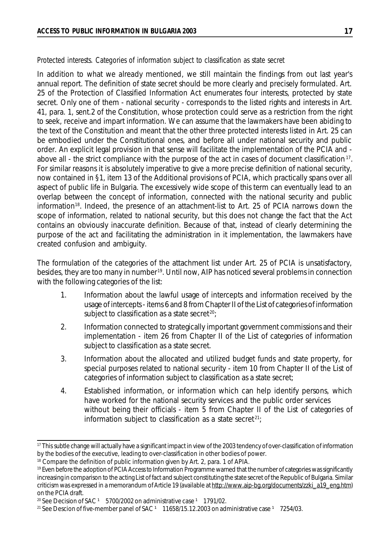#### *Protected interests. Categories of information subject to classification as state secret*

In addition to what we already mentioned, we still maintain the findings from out last year's annual report. The definition of state secret should be more clearly and precisely formulated. Art. 25 of the Protection of Classified Information Act enumerates four interests, protected by state secret. Only one of them - national security - corresponds to the listed rights and interests in Art. 41, para. 1, sent.2 of the Constitution, whose protection could serve as a restriction from the right to seek, receive and impart information. We can assume that the lawmakers have been abiding to the text of the Constitution and meant that the other three protected interests listed in Art. 25 can be embodied under the Constitutional ones, and before all under national security and public order. An explicit legal provision in that sense will facilitate the implementation of the PCIA and above all - the strict compliance with the purpose of the act in cases of document classification  $17$ . For similar reasons it is absolutely imperative to give a more precise definition of national security, now contained in §1, item 13 of the Additional provisions of PCIA, which practically spans over all aspect of public life in Bulgaria. The excessively wide scope of this term can eventually lead to an overlap between the concept of information, connected with the national security and public information<sup>18</sup>. Indeed, the presence of an attachment-list to Art. 25 of PCIA narrows down the scope of information, related to national security, but this does not change the fact that the Act contains an obviously inaccurate definition. Because of that, instead of clearly determining the purpose of the act and facilitating the administration in it implementation, the lawmakers have created confusion and ambiguity.

The formulation of the categories of the attachment list under Art. 25 of PCIA is unsatisfactory, besides, they are too many in number<sup>19</sup>. Until now, AIP has noticed several problems in connection with the following categories of the list:

- 1. Information about the lawful usage of intercepts and information received by the usage of intercepts- items 6 and 8 from Chapter II of the List of categories of information subject to classification as a state secret<sup>20</sup>;
- 2. Information connected to strategically important government commissions and their implementation - item 26 from Chapter II of the List of categories of information subject to classification as a state secret.
- 3. Information about the allocated and utilized budget funds and state property, for special purposes related to national security - item 10 from Chapter II of the List of categories of information subject to classification as a state secret;
- 4. Established information, or information which can help identify persons, which have worked for the national security services and the public order services without being their officials - item 5 from Chapter II of the List of categories of information subject to classification as a state secret<sup>21</sup>;

<sup>&</sup>lt;sup>17</sup> This subtle change will actually have a significant impact in view of the 2003 tendency of over-classification of information by the bodies of the executive, leading to over-classification in other bodies of power.

<sup>&</sup>lt;sup>18</sup> Compare the definition of public information given by Art. 2, para. 1 of APIA.

<sup>&</sup>lt;sup>19</sup> Even before the adoption of PCIA Access to Information Programme warned that the number of categories was significantly increasing in comparison to the acting List of fact and subject constituting the state secret of the Republic of Bulgaria. Similar criticism was expressed in a memorandum of Article 19 (available at [http://www.aip-bg.org/documents/zzki\\_a19\\_eng.htm\)](http://www.aip-bg.org/documents/zzki_a19_eng.htm) on the PCIA draft.

 $20$  See Decision of SAC  $1$  5700/2002 on administrative case  $1$  1791/02.

<sup>&</sup>lt;sup>21</sup> See Descion of five-member panel of SAC  $1$  11658/15.12.2003 on administrative case  $1$  7254/03.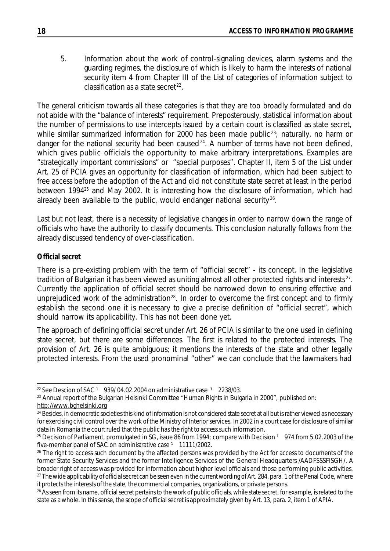5. Information about the work of control-signaling devices, alarm systems and the guarding regimes, the disclosure of which is likely to harm the interests of national security item 4 from Chapter III of the List of categories of information subject to classification as a state secret $^{22}$ .

The general criticism towards all these categories is that they are too broadly formulated and do not abide with the "balance of interests" requirement. Preposterously, statistical information about the number of permissions to use intercepts issued by a certain court is classified as state secret, while similar summarized information for 2000 has been made public<sup>23</sup>; naturally, no harm or danger for the national security had been caused<sup>24</sup>. A number of terms have not been defined, which gives public officials the opportunity to make arbitrary interpretations. Examples are "strategically important commissions" or "special purposes". Chapter II, item 5 of the List under Art. 25 of PCIA gives an opportunity for classification of information, which had been subject to free access before the adoption of the Act and did not constitute state secret at least in the period between 1994<sup>25</sup> and May 2002. It is interesting how the disclosure of information, which had already been available to the public, would endanger national security<sup>26</sup>.

Last but not least, there is a necessity of legislative changes in order to narrow down the range of officials who have the authority to classify documents. This conclusion naturally follows from the already discussed tendency of over-classification.

# *Official secret*

There is a pre-existing problem with the term of "official secret" - its concept. In the legislative tradition of Bulgarian it has been viewed as uniting almost all other protected rights and interests<sup>27</sup>. Currently the application of official secret should be narrowed down to ensuring effective and unprejudiced work of the administration<sup>28</sup>. In order to overcome the first concept and to firmly establish the second one it is necessary to give a precise definition of "official secret", which should narrow its applicability. This has not been done yet.

The approach of defining official secret under Art. 26 of PCIA is similar to the one used in defining state secret, but there are some differences. The first is related to the protected interests. The provision of Art. 26 is quite ambiguous; it mentions the interests of the state and other legally protected interests. From the used pronominal "other" we can conclude that the lawmakers had

<sup>&</sup>lt;sup>22</sup> See Descion of SAC  $1$  939/ 04.02.2004 on administrative case  $1$  2238/03.

 $23$  Annual report of the Bulgarian Helsinki Committee "Human Rights in Bulgaria in 2000", published on: <http://www.bghelsinki.org>

<sup>&</sup>lt;sup>24</sup> Besides, in democratic societies this kind of information is not considered state secret at all but is rather viewed as necessary for exercising civil control over the work of the Ministry of Interior services. In 2002 in a court case for disclosure of similar data in Romania the court ruled that the public has the right to access such information.

<sup>&</sup>lt;sup>25</sup> Decision of Parliament, promulgated in SG, issue 86 from 1994; compare with Decision  $1$  974 from 5.02.2003 of the five-member panel of SAC on administrative case  $1$  11111/2002.

<sup>&</sup>lt;sup>26</sup> The right to access such document by the affected persons was provided by the Act for access to documents of the former State Security Services and the former Intelligence Services of the General Headquarters /AADFSSSFISGH/. A broader right of access was provided for information about higher level officials and those performing public activities. <sup>27</sup> The wide applicability of official secret can be seen even in the current wording of Art. 284, para. 1 of the Penal Code, where it protectsthe interests of the state, the commercial companies, organizations, or private persons.

<sup>&</sup>lt;sup>28</sup> As seen from its name, official secret pertains to the work of public officials, while state secret, for example, is related to the state as a whole. In this sense, the scope of official secret is approximately given by Art. 13, para. 2, item 1 of APIA.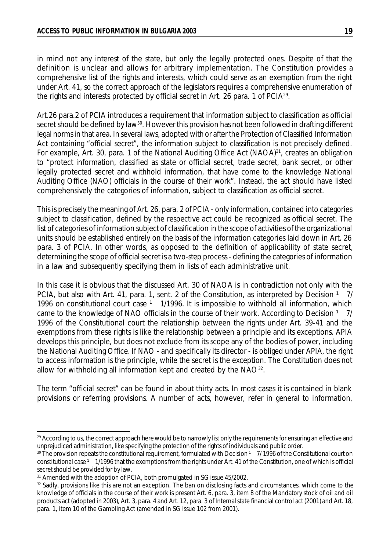in mind not any interest of the state, but only the legally protected ones. Despite of that the definition is unclear and allows for arbitrary implementation. The Constitution provides a comprehensive list of the rights and interests, which could serve as an exemption from the right under Art. 41, so the correct approach of the legislators requires a comprehensive enumeration of the rights and interests protected by official secret in Art. 26 para. 1 of PCIA<sup>29</sup>.

Art.26 para.2 of PCIA introduces a requirement that information subject to classification as official secret should be defined by law $^{\rm 30}.$  However this provision has not been followed in drafting different legal normsin that area. In several laws, adopted with or after the Protection of Classified Information Act containing "official secret", the information subject to classification is not precisely defined. For example, Art. 30, para. 1 of the National Auditing Office Act (NAOA)<sup>31</sup>, creates an obligation to "protect information, classified as state or official secret, trade secret, bank secret, or other legally protected secret and withhold information, that have come to the knowledge National Auditing Office (NAO) officials in the course of their work". Instead, the act should have listed comprehensively the categories of information, subject to classification as official secret.

This is precisely the meaning of Art. 26, para. 2 of PCIA - only information, contained into categories subject to classification, defined by the respective act could be recognized as official secret. The list of categories of information subject of classification in the scope of activities of the organizational units should be established entirely on the basis of the information categories laid down in Art. 26 para. 3 of PCIA. In other words, as opposed to the definition of applicability of state secret, determining the scope of official secret is a two-step process - defining the categories of information in a law and subsequently specifying them in lists of each administrative unit.

In this case it is obvious that the discussed Art. 30 of NAOA is in contradiction not only with the PCIA, but also with Art. 41, para. 1, sent. 2 of the Constitution, as interpreted by Decision <sup>1</sup> 7/ 1996 on constitutional court case  $1 \quad 1/1996$ . It is impossible to withhold all information, which came to the knowledge of NAO officials in the course of their work. According to Decision  $1 \frac{7}{1}$ 1996 of the Constitutional court the relationship between the rights under Art. 39-41 and the exemptions from these rights is like the relationship between a principle and its exceptions. APIA develops this principle, but does not exclude from its scope any of the bodies of power, including the National Auditing Office. If NAO - and specifically its director - is obliged under APIA, the right to access information is the principle, while the secret is the exception. The Constitution does not allow for withholding all information kept and created by the  $NAO^{32}$ .

The term "official secret" can be found in about thirty acts. In most cases it is contained in blank provisions or referring provisions. A number of acts, however, refer in general to information,

<sup>&</sup>lt;sup>29</sup> According to us, the correct approach here would be to narrowly list only the requirements for ensuring an effective and unprejudiced administration, like specifying the protection of the rights of individuals and public order.

 $30$  The provision repeats the constitutional requirement, formulated with Decision  $1$  7/ 1996 of the Constitutional court on constitutional case 1 1/1996 that the exemptions from the rights under Art. 41 of the Constitution, one of which is official secret should be provided for by law.

<sup>&</sup>lt;sup>31</sup> Amended with the adoption of PCIA, both promulgated in SG issue 45/2002.

<sup>32</sup> Sadly, provisions like this are not an exception. The ban on disclosing facts and circumstances, which come to the knowledge of officials in the course of their work is present Art. 6, para. 3, item 8 of the Mandatory stock of oil and oil products act (adopted in 2003), Art. 3, para. 4 and Art. 12, para. 3 of Internalstate financial control act (2001) and Art. 18, para. 1, item 10 of the Gambling Act (amended in SG issue 102 from 2001).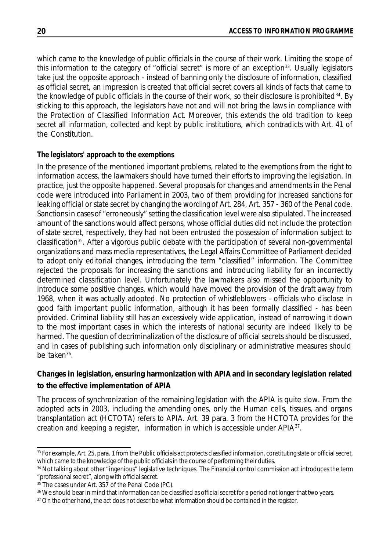which came to the knowledge of public officials in the course of their work. Limiting the scope of this information to the category of "official secret" is more of an exception<sup>33</sup>. Usually legislators take just the opposite approach - instead of banning only the disclosure of information, classified as official secret, an impression is created that official secret covers all kinds of facts that came to the knowledge of public officials in the course of their work, so their disclosure is prohibited $^{34}$ . By sticking to this approach, the legislators have not and will not bring the laws in compliance with the Protection of Classified Information Act. Moreover, this extends the old tradition to keep secret all information, collected and kept by public institutions, which contradicts with Art. 41 of the Constitution.

# *The legislators' approach to the exemptions*

In the presence of the mentioned important problems, related to the exemptions from the right to information access, the lawmakers should have turned their efforts to improving the legislation. In practice, just the opposite happened. Several proposals for changes and amendments in the Penal code were introduced into Parliament in 2003, two of them providing for increased sanctions for leaking official or state secret by changing the wording of Art. 284, Art. 357 - 360 of the Penal code. Sanctions in cases of "erroneously" setting the classification level were also stipulated. The increased amount of the sanctions would affect persons, whose official duties did not include the protection of state secret, respectively, they had not been entrusted the possession of information subject to classification<sup>35</sup>. After a vigorous public debate with the participation of several non-governmental organizations and mass media representatives, the Legal Affairs Committee of Parliament decided to adopt only editorial changes, introducing the term "classified" information. The Committee rejected the proposals for increasing the sanctions and introducing liability for an incorrectly determined classification level. Unfortunately the lawmakers also missed the opportunity to introduce some positive changes, which would have moved the provision of the draft away from 1968, when it was actually adopted. No protection of whistleblowers - officials who disclose in good faith important public information, although it has been formally classified - has been provided. Criminal liability still has an excessively wide application, instead of narrowing it down to the most important cases in which the interests of national security are indeed likely to be harmed. The question of decriminalization of the disclosure of official secrets should be discussed, and in cases of publishing such information only disciplinary or administrative measures should be taken<sup>36</sup>.

# **Changes in legislation, ensuring harmonization with APIA and in secondary legislation related to the effective implementation of APIA**

The process of synchronization of the remaining legislation with the APIA is quite slow. From the adopted acts in 2003, including the amending ones, only the Human cells, tissues, and organs transplantation act (HCTOTA) refers to APIA. Art. 39 para. 3 from the HCTOTA provides for the creation and keeping a register, information in which is accessible under APIA<sup>37</sup>.

<sup>33</sup> For example, Art. 25, para. 1 from the Public officials act protects classified information, constituting state or official secret, which came to the knowledge of the public officials in the course of performing their duties.

<sup>34</sup> Not talking about other "ingenious" legislative techniques. The Financial control commission act introduces the term "professional secret", along with official secret.

<sup>&</sup>lt;sup>35</sup> The cases under Art. 357 of the Penal Code (PC).

<sup>&</sup>lt;sup>36</sup> We should bear in mind that information can be classified as official secret for a period not longer that two years.

<sup>&</sup>lt;sup>37</sup> On the other hand, the act does not describe what information should be contained in the register.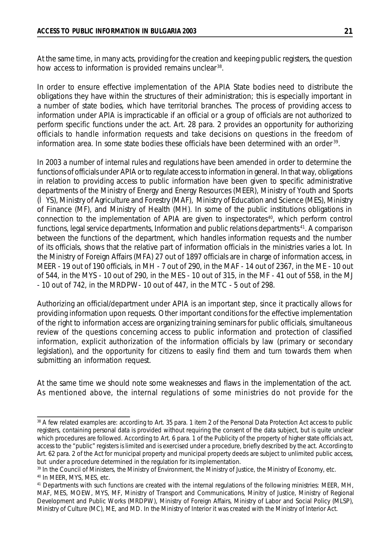At the same time, in many acts, providing for the creation and keeping public registers, the question how access to information is provided remains unclear<sup>38</sup>.

In order to ensure effective implementation of the APIA State bodies need to distribute the obligations they have within the structures of their administration; this is especially important in a number of state bodies, which have territorial branches. The process of providing access to information under APIA is impracticable if an official or a group of officials are not authorized to perform specific functions under the act. Art. 28 para. 2 provides an opportunity for authorizing officials to handle information requests and take decisions on questions in the freedom of information area. In some state bodies these officials have been determined with an order<sup>39</sup>.

In 2003 a number of internal rules and regulations have been amended in order to determine the functions of officials under APIA or to regulate access to information in general. In that way, obligations in relation to providing access to public information have been given to specific administrative departments of the Ministry of Energy and Energy Resources (MEER), Ministry of Youth and Sports (ÌYS), Ministry of Agriculture and Forestry (MAF), Ministry of Education and Science (MES), Ministry of Finance (MF), and Ministry of Health (MH). In some of the public institutions obligations in connection to the implementation of APIA are given to inspectorates<sup>40</sup>, which perform control functions, legal service departments, Information and public relations departments <sup>41</sup>. A comparison between the functions of the department, which handles information requests and the number of its officials, shows that the relative part of information officials in the ministries varies a lot. In the Ministry of Foreign Affairs (MFA) 27 out of 1897 officials are in charge of information access, in MEER - 19 out of 190 officials, in MH - 7 out of 290, in the MAF - 14 out of 2367, in the ME - 10 out of 544, in the MYS - 10 out of 290, in the MES - 10 out of 315, in the MF - 41 out of 558, in the MJ - 10 out of 742, in the MRDPW- 10 out of 447, in the MTC - 5 out of 298.

Authorizing an official/department under APIA is an important step, since it practically allows for providing information upon requests. Other important conditions for the effective implementation of the right to information access are organizing training seminars for public officials, simultaneous review of the questions concerning access to public information and protection of classified information, explicit authorization of the information officials by law (primary or secondary legislation), and the opportunity for citizens to easily find them and turn towards them when submitting an information request.

At the same time we should note some weaknesses and flaws in the implementation of the act. As mentioned above, the internal regulations of some ministries do not provide for the

<sup>38</sup> A few related examples are: according to Art. 35 para. 1 item 2 of the Personal Data Protection Act access to public registers, containing personal data is provided without requiring the consent of the data subject, but is quite unclear which procedures are followed. According to Art. 6 para. 1 of the Publicity of the property of higher state officials act, access to the "public" registers is limited and is exercised under a procedure, briefly described by the act. According to Art. 62 para. 2 of the Act for municipal property and municipal property deeds are subject to unlimited public access, but under a procedure determined in the regulation for its implementation.

<sup>&</sup>lt;sup>39</sup> In the Council of Ministers, the Ministry of Environment, the Ministry of Justice, the Ministry of Economy, etc. <sup>40</sup> In MEER, MYS, MES, etc.

<sup>&</sup>lt;sup>41</sup> Departments with such functions are created with the internal regulations of the following ministries: MEER, MH, MAF, MES, MOEW, MYS, MF, Ministry of Transport and Communications, Minitry of Justice, Ministry of Regional Development and Public Works (MRDPW), Ministry of Foreign Affairs, Ministry of Labor and Social Policy (MLSP), Ministry of Culture (MC), ME, and MD. In the Ministry of Interior it was created with the Ministry of Interior Act.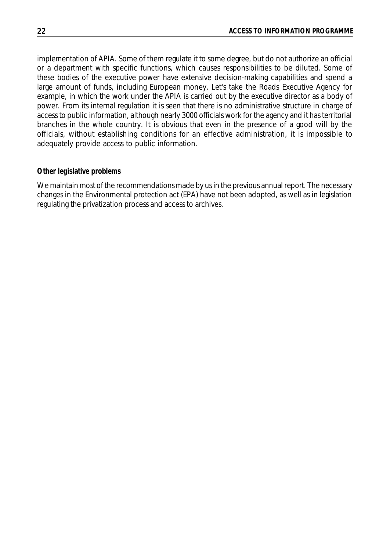implementation of APIA. Some of them regulate it to some degree, but do not authorize an official or a department with specific functions, which causes responsibilities to be diluted. Some of these bodies of the executive power have extensive decision-making capabilities and spend a large amount of funds, including European money. Let's take the Roads Executive Agency for example, in which the work under the APIA is carried out by the executive director as a body of power. From its internal regulation it is seen that there is no administrative structure in charge of access to public information, although nearly 3000 officials work for the agency and it has territorial branches in the whole country. It is obvious that even in the presence of a good will by the officials, without establishing conditions for an effective administration, it is impossible to adequately provide access to public information.

#### *Other legislative problems*

We maintain most of the recommendations made by us in the previous annual report. The necessary changes in the Environmental protection act (EPA) have not been adopted, as well as in legislation regulating the privatization process and access to archives.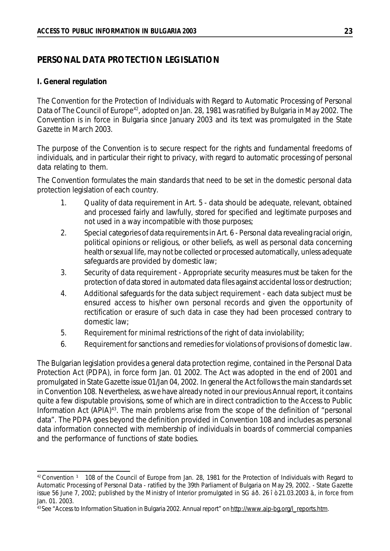# **PERSONAL DATA PROTECTION LEGISLATION**

#### **I. General regulation**

The Convention for the Protection of Individuals with Regard to Automatic Processing of Personal Data of The Council of Europe<sup>42</sup>, adopted on Jan. 28, 1981 was ratified by Bulgaria in May 2002. The Convention is in force in Bulgaria since January 2003 and its text was promulgated in the State Gazette in March 2003.

The purpose of the Convention is to secure respect for the rights and fundamental freedoms of individuals, and in particular their right to privacy, with regard to automatic processing of personal data relating to them.

The Convention formulates the main standards that need to be set in the domestic personal data protection legislation of each country.

- 1. Quality of data requirement in Art. 5 data should be adequate, relevant, obtained and processed fairly and lawfully, stored for specified and legitimate purposes and not used in a way incompatible with those purposes;
- 2. Special categories of data requirements in Art. 6 Personal data revealing racial origin, political opinions or religious, or other beliefs, as well as personal data concerning health or sexual life, may not be collected or processed automatically, unless adequate safeguards are provided by domestic law;
- 3. Security of data requirement Appropriate security measures must be taken for the protection of data stored in automated data files against accidental loss or destruction;
- 4. Additional safeguards for the data subject requirement each data subject must be ensured access to his/her own personal records and given the opportunity of rectification or erasure of such data in case they had been processed contrary to domestic law;
- 5. Requirement for minimal restrictions of the right of data inviolability;
- 6. Requirement for sanctions and remedies for violations of provisions of domestic law.

The Bulgarian legislation provides a general data protection regime, contained in the Personal Data Protection Act (PDPA), in force form Jan. 01 2002. The Act was adopted in the end of 2001 and promulgated in State Gazette issue 01/Jan 04, 2002. In general the Act follows the main standards set in Convention 108. Nevertheless, as we have already noted in our previous Annual report, it contains quite a few disputable provisions, some of which are in direct contradiction to the Access to Public Information Act (APIA)<sup>43</sup>. The main problems arise from the scope of the definition of "personal data". The PDPA goes beyond the definition provided in Convention 108 and includes as personal data information connected with membership of individuals in boards of commercial companies and the performance of functions of state bodies.

<sup>&</sup>lt;sup>42</sup> Convention <sup>1</sup> 108 of the Council of Europe from Jan. 28, 1981 for the Protection of Individuals with Regard to Automatic Processing of Personal Data - ratified by the 39th Parliament of Bulgaria on May 29, 2002. - State Gazette issue 56 June 7, 2002; published by the Ministry of Interior promulgated in SG áð. 26 îò 21.03.2003 ã., in force from Jan. 01. 2003.

<sup>&</sup>lt;sup>43</sup>See "Access to Information Situation in Bulgaria 2002. Annual report" on [http://www.aip-bg.org/l\\_reports.htm](http://www.aip-bg.org/l_reports.htm).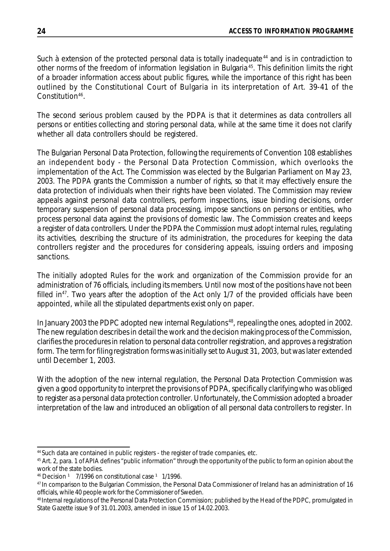Such à extension of the protected personal data is totally inadequate<sup>44</sup> and is in contradiction to other norms of the freedom of information legislation in Bulgaria<sup>45</sup>. This definition limits the right of a broader information access about public figures, while the importance of this right has been outlined by the Constitutional Court of Bulgaria in its interpretation of Art. 39-41 of the Constitution<sup>46</sup>.

The second serious problem caused by the PDPA is that it determines as data controllers all persons or entities collecting and storing personal data, while at the same time it does not clarify whether all data controllers should be registered.

The Bulgarian Personal Data Protection, following the requirements of Convention 108 establishes an independent body - the Personal Data Protection Commission, which overlooks the implementation of the Act. The Commission was elected by the Bulgarian Parliament on May 23, 2003. The PDPA grants the Commission a number of rights, so that it may effectively ensure the data protection of individuals when their rights have been violated. The Commission may review appeals against personal data controllers, perform inspections, issue binding decisions, order temporary suspension of personal data processing, impose sanctions on persons or entities, who process personal data against the provisions of domestic law. The Commission creates and keeps a register of data controllers. Under the PDPA the Commission must adopt internal rules, regulating its activities, describing the structure of its administration, the procedures for keeping the data controllers register and the procedures for considering appeals, issuing orders and imposing sanctions.

The initially adopted Rules for the work and organization of the Commission provide for an administration of 76 officials, including its members. Until now most of the positions have not been filled in<sup>47</sup>. Two years after the adoption of the Act only 1/7 of the provided officials have been appointed, while all the stipulated departments exist only on paper.

In January 2003 the PDPC adopted new internal Regulations<sup>48</sup>, repealing the ones, adopted in 2002. The new regulation describes in detail the work and the decision making process of the Commission, clarifies the procedures in relation to personal data controller registration, and approves a registration form. The term for filing registration forms was initially set to August 31, 2003, but was later extended until December 1, 2003.

With the adoption of the new internal regulation, the Personal Data Protection Commission was given a good opportunity to interpret the provisions of PDPA, specifically clarifying who was obliged to register as a personal data protection controller. Unfortunately, the Commission adopted a broader interpretation of the law and introduced an obligation of all personal data controllers to register. In

<sup>44</sup>Such data are contained in public registers - the register of trade companies, etc.

<sup>&</sup>lt;sup>45</sup> Art. 2, para. 1 of APIA defines "public information" through the opportunity of the public to form an opinion about the work of the state bodies.

 $46$  Decision  $1$  7/1996 on constitutional case  $1$  1/1996.

<sup>47</sup>In comparison to the Bulgarian Commission, the Personal Data Commissioner of Ireland has an administration of 16 officials, while 40 people work forthe Commissioner of Sweden.

<sup>48</sup> Internal regulations of the Personal Data Protection Commission; published by the Head of the PDPC, promulgated in State Gazette issue 9 of 31.01.2003, amended in issue 15 of 14.02.2003.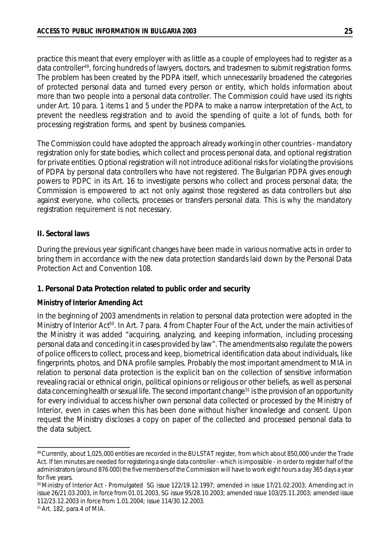practice this meant that every employer with as little as a couple of employees had to register as a data controller<sup>49</sup>, forcing hundreds of lawyers, doctors, and tradesmen to submit registration forms. The problem has been created by the PDPA itself, which unnecessarily broadened the categories of protected personal data and turned every person or entity, which holds information about more than two people into a personal data controller. The Commission could have used its rights under Art. 10 para. 1 items 1 and 5 under the PDPA to make a narrow interpretation of the Act, to prevent the needless registration and to avoid the spending of quite a lot of funds, both for processing registration forms, and spent by business companies.

The Commission could have adopted the approach already working in other countries - mandatory registration only for state bodies, which collect and process personal data, and optional registration for private entities. Optional registration will not introduce aditional risks for violating the provisions of PDPA by personal data controllers who have not registered. The Bulgarian PDPA gives enough powers to PDPC in its Art. 16 to investigate persons who collect and process personal data; the Commission is empowered to act not only against those registered as data controllers but also against everyone, who collects, processes or transfers personal data. This is why the mandatory registration requirement is not necessary.

#### **II. Sectoral laws**

During the previous year significant changes have been made in various normative acts in order to bring them in accordance with the new data protection standards laid down by the Personal Data Protection Act and Convention 108.

## **1. Personal Data Protection related to public order and security**

#### *Ministry of Interior Amending Act*

In the beginning of 2003 amendments in relation to personal data protection were adopted in the Ministry of Interior Act<sup>50</sup>. In Art. 7 para. 4 from Chapter Four of the Act, under the main activities of the Ministry it was added "acquiring, analyzing, and keeping information, including processing personal data and conceding it in cases provided by law". The amendments also regulate the powers of police officers to collect, process and keep, biometrical identification data about individuals, like fingerprints, photos, and DNA profile samples. Probably the most important amendment to MIA in relation to personal data protection is the explicit ban on the collection of sensitive information revealing racial or ethnical origin, political opinions or religious or other beliefs, as well as personal data concerning health or sexual life. The second important change<sup>51</sup> is the provision of an opportunity for every individual to access his/her own personal data collected or processed by the Ministry of Interior, even in cases when this has been done without his/her knowledge and consent. Upon request the Ministry discloses a copy on paper of the collected and processed personal data to the data subject.

<sup>49</sup>Currently, about 1,025,000 entities are recorded in the BULSTAT register, from which about 850,000 under the Trade Act. If ten minutes are needed for registering a single data controller - which is impossible - in order to register half of the administrators (around 876 000) the five members of the Commission will have to work eight hours a day 365 days a year for five years.

<sup>50</sup>Ministry of Interior Act - Promulgated SG issue 122/19.12.1997; amended in issue 17/21.02.2003; Amending act in issue 26/21.03.2003, in force from 01.01.2003, SG issue 95/28.10.2003; amended issue 103/25.11.2003; amended issue 112/23.12.2003 in force from 1.01.2004; issue 114/30.12.2003.

<sup>51</sup>Art. 182, para.4 of MIA.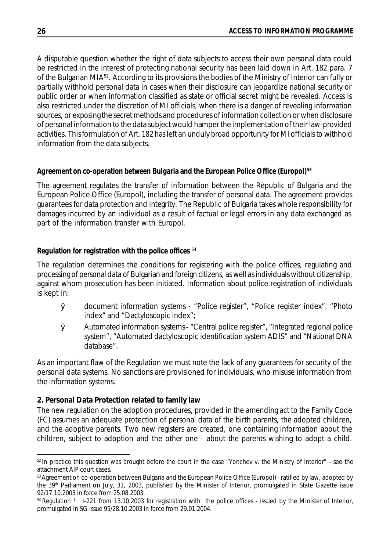A disputable question whether the right of data subjects to access their own personal data could be restricted in the interest of protecting national security has been laid down in Art. 182 para. 7 of the Bulgarian MIA<sup>52</sup>. According to its provisions the bodies of the Ministry of Interior can fully or partially withhold personal data in cases when their disclosure can jeopardize national security or public order or when information classified as state or official secret might be revealed. Access is also restricted under the discretion of MI officials, when there is a danger of revealing information sources, or exposing the secret methods and procedures of information collection or when disclosure of personal information to the data subject would hamper the implementation of their law-provided activities. Thisformulation of Art. 182 has left an unduly broad opportunity for MI officials to withhold information from the data subjects.

# *Agreement on co-operation between Bulgaria and the European Police Office (Europol)***<sup>53</sup>**

The agreement regulates the transfer of information between the Republic of Bulgaria and the European Police Office (Europol), including the transfer of personal data. The agreement provides guarantees for data protection and integrity. The Republic of Bulgaria takes whole responsibility for damages incurred by an individual as a result of factual or legal errors in any data exchanged as part of the information transfer with Europol.

# *Regulation for registration with the police offices* <sup>54</sup>

The regulation determines the conditions for registering with the police offices, regulating and processing of personal data of Bulgarian and foreign citizens, as well as individuals without citizenship, against whom prosecution has been initiated. Information about police registration of individuals is kept in:

- Ø document information systems "Police register", "Police register index", "Photo index" and "Dactyloscopic index";
- Ø Automated information systems- "Central police register", "Integrated regional police system", "Automated dactyloscopic identification system ADIS" and "National DNA database".

As an important flaw of the Regulation we must note the lack of any guarantees for security of the personal data systems. No sanctions are provisioned for individuals, who misuse information from the information systems.

## **2. Personal Data Protection related to family law**

The new regulation on the adoption procedures, provided in the amending act to the Family Code (FC) assumes an adequate protection of personal data of the birth parents, the adopted children, and the adoptive parents. Two new registers are created, one containing information about the children, subject to adoption and the other one - about the parents wishing to adopt a child.

 $52$  In practice this question was brought before the court in the case "Yonchev v. the Ministry of Interior" - see the attachment AIP court cases.

<sup>&</sup>lt;sup>53</sup> Agreement on co-operation between Bulgaria and the European Police Office (Europol) - ratified by law, adopted by the 39<sup>th</sup> Parliament on July, 31, 2003, published by the Minister of Interior, promulgated in State Gazette issue 92/17.10.2003 in force from 25.08.2003.

 $54$  Regulation <sup>1</sup> I-221 from 13.10.2003 for registration with the police offices - issued by the Minister of Interior, promulgated in SG issue 95/28.10.2003 in force from 29.01.2004.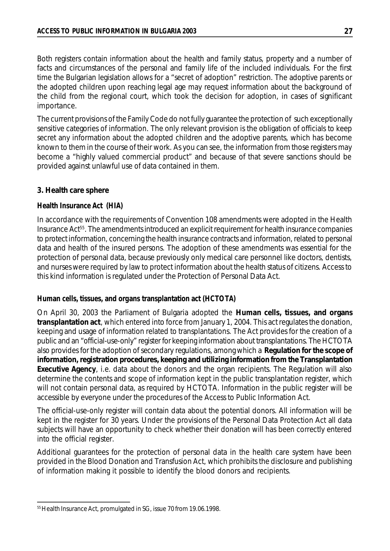Both registers contain information about the health and family status, property and a number of facts and circumstances of the personal and family life of the included individuals. For the first time the Bulgarian legislation allows for a "secret of adoption" restriction. The adoptive parents or the adopted children upon reaching legal age may request information about the background of the child from the regional court, which took the decision for adoption, in cases of significant importance.

The current provisions of the Family Code do not fully guarantee the protection of such exceptionally sensitive categories of information. The only relevant provision is the obligation of officials to keep secret any information about the adopted children and the adoptive parents, which has become known to them in the course of their work. As you can see, the information from those registers may become a "highly valued commercial product" and because of that severe sanctions should be provided against unlawful use of data contained in them.

## **3. Health care sphere**

#### *Health Insurance Act (HIA)*

In accordance with the requirements of Convention 108 amendments were adopted in the Health Insurance Act<sup>55</sup>. The amendments introduced an explicit requirement for health insurance companies to protect information, concerning the health insurance contracts and information, related to personal data and health of the insured persons. The adoption of these amendments was essential for the protection of personal data, because previously only medical care personnel like doctors, dentists, and nurses were required by law to protect information about the health status of citizens. Access to this kind information is regulated under the Protection of Personal Data Act.

## *Human cells, tissues, and organs transplantation act (HCTOTA)*

On April 30, 2003 the Parliament of Bulgaria adopted the **Human cells, tissues, and organs transplantation act**, which entered into force from January 1, 2004. This act regulates the donation, keeping and usage of information related to transplantations. The Act provides for the creation of a public and an "official-use-only" register for keeping information about transplantations. The HCTOTA also provides for the adoption of secondary regulations, among which a **Regulation for the scope of information,registration procedures,keeping and utilizing information from the Transplantation Executive Agency**, i.e. data about the donors and the organ recipients. The Regulation will also determine the contents and scope of information kept in the public transplantation register, which will not contain personal data, as required by HCTOTA. Information in the public register will be accessible by everyone under the procedures of the Access to Public Information Act.

The official-use-only register will contain data about the potential donors. All information will be kept in the register for 30 years. Under the provisions of the Personal Data Protection Act all data subjects will have an opportunity to check whether their donation will has been correctly entered into the official register.

Additional guarantees for the protection of personal data in the health care system have been provided in the Blood Donation and Transfusion Act, which prohibits the disclosure and publishing of information making it possible to identify the blood donors and recipients.

<sup>&</sup>lt;sup>55</sup> Health Insurance Act, promulgated in SG, issue 70 from 19.06.1998.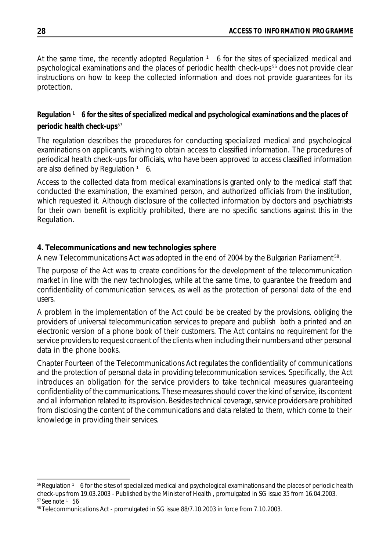At the same time, the recently adopted Regulation  $1\overline{6}$  for the sites of specialized medical and psychological examinations and the places of periodic health check-ups <sup>56</sup> does not provide clear instructions on how to keep the collected information and does not provide guarantees for its protection.

# *Regulation ¹ 6 for the sites of specialized medical and psychological examinations and the places of periodic health check-ups*<sup>57</sup>

The regulation describes the procedures for conducting specialized medical and psychological examinations on applicants, wishing to obtain access to classified information. The procedures of periodical health check-ups for officials, who have been approved to access classified information are also defined by Regulation  $1\,$  6.

Access to the collected data from medical examinations is granted only to the medical staff that conducted the examination, the examined person, and authorized officials from the institution, which requested it. Although disclosure of the collected information by doctors and psychiatrists for their own benefit is explicitly prohibited, there are no specific sanctions against this in the Regulation.

# **4. Telecommunications and new technologies sphere**

A new Telecommunications Act was adopted in the end of 2004 by the Bulgarian Parliament 58.

The purpose of the Act was to create conditions for the development of the telecommunication market in line with the new technologies, while at the same time, to guarantee the freedom and confidentiality of communication services, as well as the protection of personal data of the end users.

A problem in the implementation of the Act could be be created by the provisions, obliging the providers of universal telecommunication services to prepare and publish both a printed and an electronic version of a phone book of their customers. The Act contains no requirement for the service providers to request consent of the clients when including their numbers and other personal data in the phone books.

Chapter Fourteen of the Telecommunications Act regulates the confidentiality of communications and the protection of personal data in providing telecommunication services. Specifically, the Act introduces an obligation for the service providers to take technical measures guaranteeing confidentiality of the communications. These measures should cover the kind of service, its content and all information related to its provision. Besides technical coverage, service providers are prohibited from disclosing the content of the communications and data related to them, which come to their knowledge in providing their services.

 $56$  Regulation  $1\,$  6 for the sites of specialized medical and psychological examinations and the places of periodic health check-ups from 19.03.2003 - Published by the Minister of Health , promulgated in SG issue 35 from 16.04.2003.  $57$  See note  $1\,56$ 

<sup>58</sup>Telecommunications Act - promulgated in SG issue 88/7.10.2003 in force from 7.10.2003.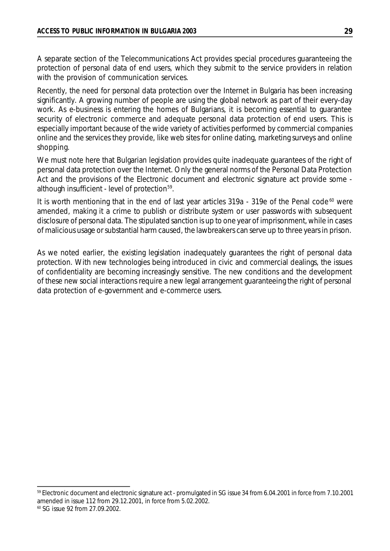A separate section of the Telecommunications Act provides special procedures guaranteeing the protection of personal data of end users, which they submit to the service providers in relation with the provision of communication services.

Recently, the need for personal data protection over the Internet in Bulgaria has been increasing significantly. A growing number of people are using the global network as part of their every-day work. As e-business is entering the homes of Bulgarians, it is becoming essential to guarantee security of electronic commerce and adequate personal data protection of end users. This is especially important because of the wide variety of activities performed by commercial companies online and the services they provide, like web sites for online dating, marketing surveys and online shopping.

We must note here that Bulgarian legislation provides quite inadequate guarantees of the right of personal data protection over the Internet. Only the general norms of the Personal Data Protection Act and the provisions of the Electronic document and electronic signature act provide some although insufficient - level of protection<sup>59</sup>.

It is worth mentioning that in the end of last year articles  $319a - 319e$  of the Penal code<sup>60</sup> were amended, making it a crime to publish or distribute system or user passwords with subsequent disclosure of personal data. The stipulated sanction is up to one year of imprisonment, while in cases of malicious usage or substantial harm caused, the lawbreakers can serve up to three years in prison.

As we noted earlier, the existing legislation inadequately guarantees the right of personal data protection. With new technologies being introduced in civic and commercial dealings, the issues of confidentiality are becoming increasingly sensitive. The new conditions and the development of these new social interactions require a new legal arrangement guaranteeing the right of personal data protection of e-government and e-commerce users.

<sup>59</sup> Electronic document and electronic signature act - promulgated in SG issue 34 from 6.04.2001 in force from 7.10.2001 amended in issue 112 from 29.12.2001, in force from 5.02.2002.

<sup>60</sup> SG issue 92 from 27.09.2002.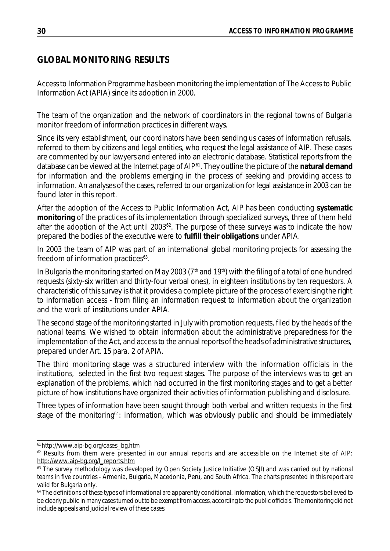# **GLOBAL MONITORING RESULTS**

Access to Information Programme has been monitoring the implementation of The Access to Public Information Act (APIA) since its adoption in 2000.

The team of the organization and the network of coordinators in the regional towns of Bulgaria monitor freedom of information practices in different ways.

Since its very establishment, our coordinators have been sending us cases of information refusals, referred to them by citizens and legal entities, who request the legal assistance of AIP. These cases are commented by our lawyers and entered into an electronic database. Statistical reports from the database can be viewed at the Internet page of AIP<sup>61</sup> . They outline the picture of the **natural demand** for information and the problems emerging in the process of seeking and providing access to information. An analyses of the cases, referred to our organization for legal assistance in 2003 can be found later in this report.

After the adoption of the Access to Public Information Act, AIP has been conducting **systematic monitoring** of the practices of its implementation through specialized surveys, three of them held after the adoption of the Act until 2003<sup>62</sup>. The purpose of these surveys was to indicate the how prepared the bodies of the executive were to **fulfill their obligations** under APIA.

In 2003 the team of AIP was part of an international global monitoring projects for assessing the freedom of information practices $63$ .

In Bulgaria the monitoring started on May 2003 ( $7<sup>th</sup>$  and  $19<sup>th</sup>$ ) with the filing of a total of one hundred requests (sixty-six written and thirty-four verbal ones), in eighteen institutions by ten requestors. A characteristic of this survey is that it provides a complete picture of the process of exercising the right to information access - from filing an information request to information about the organization and the work of institutions under APIA.

The second stage of the monitoring started in July with promotion requests, filed by the heads of the national teams. We wished to obtain information about the administrative preparedness for the implementation of the Act, and access to the annual reports of the heads of administrative structures, prepared under Art. 15 para. 2 of APIA.

The third monitoring stage was a structured interview with the information officials in the institutions, selected in the first two request stages. The purpose of the interviews was to get an explanation of the problems, which had occurred in the first monitoring stages and to get a better picture of how institutions have organized their activities of information publishing and disclosure.

Three types of information have been sought through both verbal and written requests in the first stage of the monitoring<sup>64</sup>: information, which was obviously public and should be immediately

<sup>61</sup>[http://www.aip-bg.org/cases\\_bg.htm](http://www.aip-bg.org/cases_bg.htm)

<sup>&</sup>lt;sup>62</sup> Results from them were presented in our annual reports and are accessible on the Internet site of AIP: [http://www.aip-bg.org/l\\_reports.htm](http://www.aip-bg.org/l_reports.htm)

<sup>&</sup>lt;sup>63</sup> The survey methodology was developed by Open Society Justice Initiative (OSJI) and was carried out by national teams in five countries - Armenia, Bulgaria, Macedonia, Peru, and South Africa. The charts presented in this report are valid for Bulgaria only.

<sup>&</sup>lt;sup>64</sup> The definitions of these types of informational are apparently conditional. Information, which the requestors believed to be clearly public in many casesturned out to be exempt from access, according to the public officials. The monitoring did not include appeals and judicial review of these cases.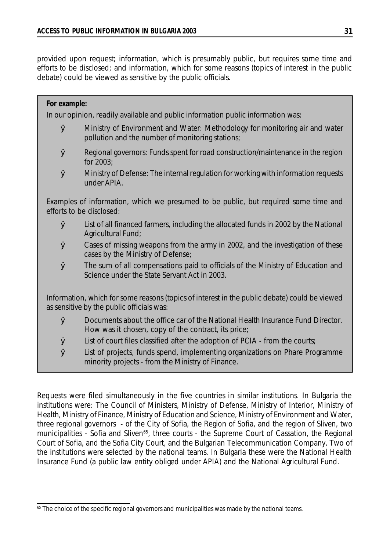provided upon request; information, which is presumably public, but requires some time and efforts to be disclosed; and information, which for some reasons (topics of interest in the public debate) could be viewed as sensitive by the public officials.

## *For example:*

In our opinion, readily available and public information public information was:

- Ø Ministry of Environment and Water: Methodology for monitoring air and water pollution and the number of monitoring stations;
- $\varnothing$  Regional governors: Funds spent for road construction/maintenance in the region for 2003;
- $\boldsymbol{\mathcal{D}}$  Ministry of Defense: The internal regulation for working with information requests under APIA.

Examples of information, which we presumed to be public, but required some time and efforts to be disclosed:

- $\boldsymbol{\mathcal{O}}$  List of all financed farmers, including the allocated funds in 2002 by the National Agricultural Fund;
- Ø Cases of missing weapons from the army in 2002, and the investigation of these cases by the Ministry of Defense;
- Ø The sum of all compensations paid to officials of the Ministry of Education and Science under the State Servant Act in 2003.

Information, which for some reasons (topics of interest in the public debate) could be viewed as sensitive by the public officials was:

- Ø Documents about the office car of the National Health Insurance Fund Director. How was it chosen, copy of the contract, its price;
- $\boldsymbol{\emptyset}$  List of court files classified after the adoption of PCIA from the courts;
- Ø List of projects, funds spend, implementing organizations on Phare Programme minority projects - from the Ministry of Finance.

Requests were filed simultaneously in the five countries in similar institutions. In Bulgaria the institutions were: The Council of Ministers, Ministry of Defense, Ministry of Interior, Ministry of Health, Ministry of Finance, Ministry of Education and Science, Ministry of Environment and Water, three regional governors - of the City of Sofia, the Region of Sofia, and the region of Sliven, two municipalities - Sofia and Sliven<sup>65</sup>, three courts - the Supreme Court of Cassation, the Regional Court of Sofia, and the Sofia City Court, and the Bulgarian Telecommunication Company. Two of the institutions were selected by the national teams. In Bulgaria these were the National Health Insurance Fund (a public law entity obliged under APIA) and the National Agricultural Fund.

<sup>&</sup>lt;sup>65</sup> The choice of the specific regional governors and municipalities was made by the national teams.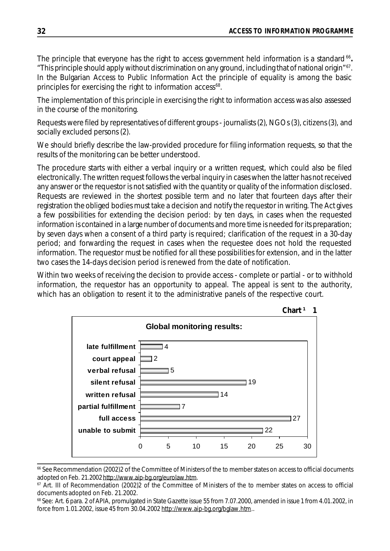The principle that everyone has the right to access government held information is a standard<sup>66</sup>. "This principle should apply without discrimination on any ground, including that of national origin"<sup>67</sup> . In the Bulgarian Access to Public Information Act the principle of equality is among the basic principles for exercising the right to information access<sup>68</sup>.

The implementation of this principle in exercising the right to information access was also assessed in the course of the monitoring.

Requests were filed by representatives of different groups - journalists (2), NGOs (3), citizens (3), and socially excluded persons (2).

We should briefly describe the law-provided procedure for filing information requests, so that the results of the monitoring can be better understood.

The procedure starts with either a verbal inquiry or a written request, which could also be filed electronically. The written request follows the verbal inquiry in cases when the latter has not received any answer or the requestor is not satisfied with the quantity or quality of the information disclosed. Requests are reviewed in the shortest possible term and no later that fourteen days after their registration the obliged bodies must take a decision and notify the requestor in writing. The Act gives a few possibilities for extending the decision period: by ten days, in cases when the requested information is contained in a large number of documents and more time is needed for its preparation; by seven days when a consent of a third party is required; clarification of the request in a 30-day period; and forwarding the request in cases when the requestee does not hold the requested information. The requestor must be notified for all these possibilities for extension, and in the latter two cases the 14-days decision period is renewed from the date of notification.

Within two weeks of receiving the decision to provide access - complete or partial - or to withhold information, the requestor has an opportunity to appeal. The appeal is sent to the authority, which has an obligation to resent it to the administrative panels of the respective court.



<sup>&</sup>lt;sup>66</sup> See Recommendation (2002)2 of the Committee of Ministers of the to member states on access to official documents adopted on Feb. 21.2002<http://www.aip-bg.org/eurolaw.htm>.

<sup>&</sup>lt;sup>67</sup> Art. III of Recommendation (2002)2 of the Committee of Ministers of the to member states on access to official documents adopted on Feb. 21.2002.

<sup>&</sup>lt;sup>68</sup> See: Art. 6 para. 2 of APIA, promulgated in State Gazette issue 55 from 7.07.2000, amended in issue 1 from 4.01.2002, in force from 1.01.2002, issue 45 from 30.04.2002 [http://www.aip-bg.org/bglaw.htm.](http://www.aip-bg.org/bglaw.htm).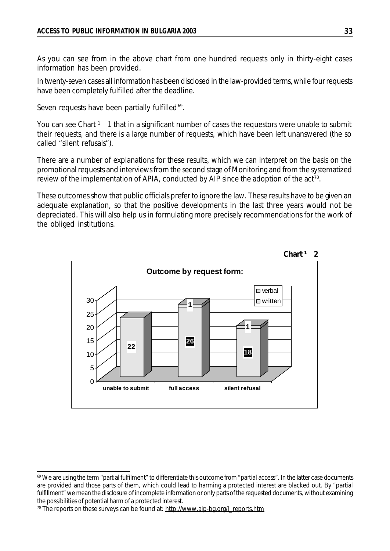As you can see from in the above chart from one hundred requests only in thirty-eight cases information has been provided.

In twenty-seven cases all information has been disclosed in the law-provided terms, while four requests have been completely fulfilled after the deadline.

Seven requests have been partially fulfilled<sup>69</sup>.

You can see Chart <sup>1</sup> 1 that in a significant number of cases the requestors were unable to submit their requests, and there is a large number of requests, which have been left unanswered (the so called "silent refusals").

There are a number of explanations for these results, which we can interpret on the basis on the promotional requests and interviews from the second stage of Monitoring and from the systematized review of the implementation of APIA, conducted by AIP since the adoption of the act<sup>70</sup>.

These outcomes show that public officials prefer to ignore the law. These results have to be given an adequate explanation, so that the positive developments in the last three years would not be depreciated. This will also help us in formulating more precisely recommendations for the work of the obliged institutions.





<sup>69</sup> We are using the term "partial fulfilment" to differentiate this outcome from "partial access". In the latter case documents are provided and those parts of them, which could lead to harming a protected interest are blacked out. By "partial fulfillment" we mean the disclosure of incomplete information or only parts of the requested documents, without examining the possibilities of potential harm of a protected interest.

<sup>&</sup>lt;sup>70</sup> The reports on these surveys can be found at: [http://www.aip-bg.org/l\\_reports.htm](http://www.aip-bg.org/l_reports.htm)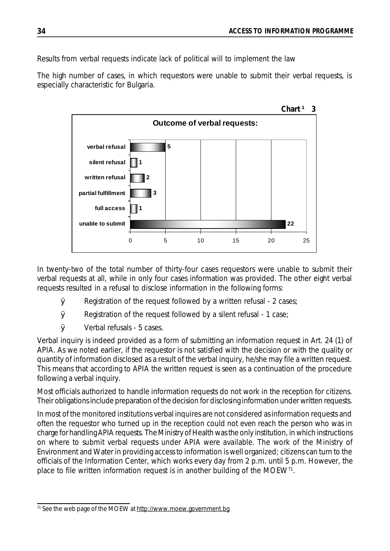Results from verbal requests indicate lack of political will to implement the law

The high number of cases, in which requestors were unable to submit their verbal requests, is especially characteristic for Bulgaria.



In twenty-two of the total number of thirty-four cases requestors were unable to submit their verbal requests at all, while in only four cases information was provided. The other eight verbal requests resulted in a refusal to disclose information in the following forms:

- $\boldsymbol{\mathcal{D}}$  Registration of the request followed by a written refusal 2 cases;
- $\boldsymbol{\emptyset}$  Registration of the request followed by a silent refusal 1 case;
- Ø Verbal refusals 5 cases.

Verbal inquiry is indeed provided as a form of submitting an information request in Art. 24 (1) of APIA. As we noted earlier, if the requestor is not satisfied with the decision or with the quality or quantity of information disclosed as a result of the verbal inquiry, he/she may file a written request. This means that according to APIA the written request is seen as a continuation of the procedure following a verbal inquiry.

Most officials authorized to handle information requests do not work in the reception for citizens. Their obligations include preparation of the decision for disclosing information under written requests.

In most of the monitored institutions verbal inquires are not considered asinformation requests and often the requestor who turned up in the reception could not even reach the person who was in charge for handling APIA requests. The Ministry of Health was the only institution, in which instructions on where to submit verbal requests under APIA were available. The work of the Ministry of Environment and Water in providing access to information is well organized; citizens can turn to the officials of the Information Center, which works every day from 2 p.m. until 5 p.m. However, the place to file written information request is in another building of the MOEW<sup>71</sup>.

<sup>&</sup>lt;sup>71</sup> See the web page of the MOEW at<http://www.moew.government.bg>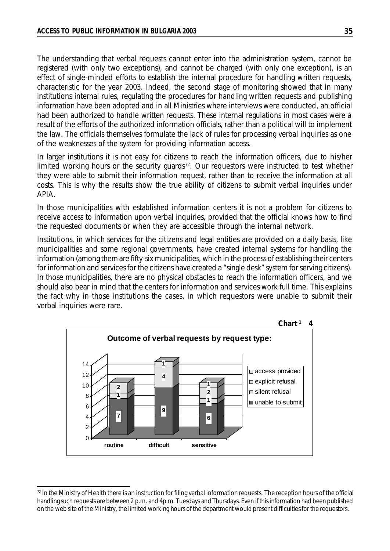The understanding that verbal requests cannot enter into the administration system, cannot be registered (with only two exceptions), and cannot be charged (with only one exception), is an effect of single-minded efforts to establish the internal procedure for handling written requests, characteristic for the year 2003. Indeed, the second stage of monitoring showed that in many institutions internal rules, regulating the procedures for handling written requests and publishing information have been adopted and in all Ministries where interviews were conducted, an official had been authorized to handle written requests. These internal regulations in most cases were a result of the efforts of the authorized information officials, rather than a political will to implement the law. The officials themselves formulate the lack of rules for processing verbal inquiries as one of the weaknesses of the system for providing information access.

In larger institutions it is not easy for citizens to reach the information officers, due to his/her limited working hours or the security guards<sup>72</sup>. Our requestors were instructed to test whether they were able to submit their information request, rather than to receive the information at all costs. This is why the results show the true ability of citizens to submit verbal inquiries under APIA.

In those municipalities with established information centers it is not a problem for citizens to receive access to information upon verbal inquiries, provided that the official knows how to find the requested documents or when they are accessible through the internal network.

Institutions, in which services for the citizens and legal entities are provided on a daily basis, like municipalities and some regional governments, have created internal systems for handling the information (among them are fifty-six municipalities, which in the process of establishing their centers for information and services for the citizens have created a "single desk" system for serving citizens). In those municipalities, there are no physical obstacles to reach the information officers, and we should also bear in mind that the centers for information and services work full time. This explains the fact why in those institutions the cases, in which requestors were unable to submit their verbal inquiries were rare.



<sup>72</sup> In the Ministry of Health there is an instruction for filing verbal information requests. The reception hours of the official handling such requests are between 2 p.m. and 4p.m. Tuesdays and Thursdays. Even if this information had been published on the web site of the Ministry, the limited working hours of the department would present difficultiesfor the requestors.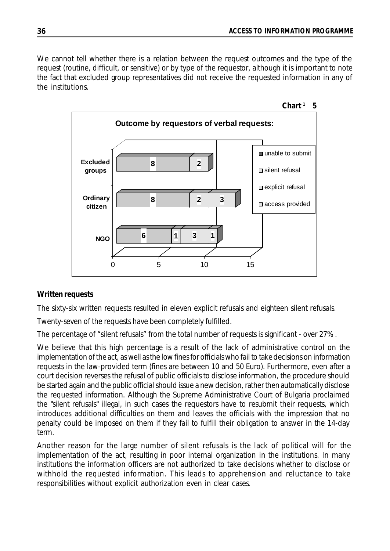We cannot tell whether there is a relation between the request outcomes and the type of the request (routine, difficult, or sensitive) or by type of the requestor, although it is important to note the fact that excluded group representatives did not receive the requested information in any of the institutions.



## **Written requests**

The sixty-six written requests resulted in eleven explicit refusals and eighteen silent refusals.

Twenty-seven of the requests have been completely fulfilled.

The percentage of "silent refusals" from the total number of requests is significant - over 27%.

We believe that this high percentage is a result of the lack of administrative control on the implementation of the act, as well as the low fines for officials who fail to take decisions on information requests in the law-provided term (fines are between 10 and 50 Euro). Furthermore, even after a court decision reverses the refusal of public officials to disclose information, the procedure should be started again and the public official should issue a new decision, rather then automatically disclose the requested information. Although the Supreme Administrative Court of Bulgaria proclaimed the "silent refusals" illegal, in such cases the requestors have to resubmit their requests, which introduces additional difficulties on them and leaves the officials with the impression that no penalty could be imposed on them if they fail to fulfill their obligation to answer in the 14-day term.

Another reason for the large number of silent refusals is the lack of political will for the implementation of the act, resulting in poor internal organization in the institutions. In many institutions the information officers are not authorized to take decisions whether to disclose or withhold the requested information. This leads to apprehension and reluctance to take responsibilities without explicit authorization even in clear cases.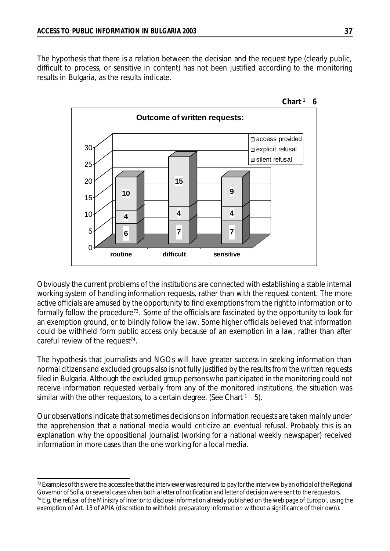The hypothesis that there is a relation between the decision and the request type (clearly public, difficult to process, or sensitive in content) has not been justified according to the monitoring results in Bulgaria, as the results indicate.



Obviously the current problems of the institutions are connected with establishing a stable internal working system of handling information requests, rather than with the request content. The more active officials are amused by the opportunity to find exemptions from the right to information or to formally follow the procedure<sup>73</sup>. Some of the officials are fascinated by the opportunity to look for an exemption ground, or to blindly follow the law. Some higher officials believed that information could be withheld form public access only because of an exemption in a law, rather than after careful review of the request<sup>74</sup>.

The hypothesis that journalists and NGOs will have greater success in seeking information than normal citizens and excluded groups also is not fully justified by the results from the written requests filed in Bulgaria. Although the excluded group persons who participated in the monitoring could not receive information requested verbally from any of the monitored institutions, the situation was similar with the other requestors, to a certain degree. (See Chart  $1\quad 5$ ).

Our observations indicate that sometimes decisions on information requests are taken mainly under the apprehension that a national media would criticize an eventual refusal. Probably this is an explanation why the oppositional journalist (working for a national weekly newspaper) received information in more cases than the one working for a local media.

 $<sup>73</sup>$  Examples of this were the access fee that the interviewer was required to pay for the interview by an official of the Regional</sup> Governor of Sofia, orseveral cases when both a letter of notification and letter of decision were sent to the requestors. 74 E.g. the refusal of the Ministry of Interior to disclose information already published on the web page of Europol, using the exemption of Art. 13 of APIA (discretion to withhold preparatory information without a significance of their own).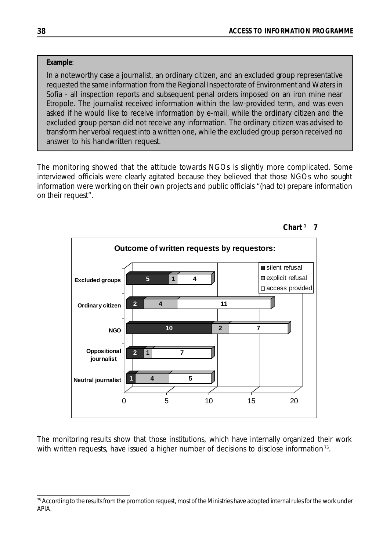#### *Example*:

In a noteworthy case a journalist, an ordinary citizen, and an excluded group representative requested the same information from the Regional Inspectorate of Environment and Waters in Sofia - all inspection reports and subsequent penal orders imposed on an iron mine near Etropole. The journalist received information within the law-provided term, and was even asked if he would like to receive information by e-mail, while the ordinary citizen and the excluded group person did not receive any information. The ordinary citizen was advised to transform her verbal request into a written one, while the excluded group person received no answer to his handwritten request.

The monitoring showed that the attitude towards NGOs is slightly more complicated. Some interviewed officials were clearly agitated because they believed that those NGOs who sought information were working on their own projects and public officials "(had to) prepare information on their request".



**Chart ¹ 7**

The monitoring results show that those institutions, which have internally organized their work with written requests, have issued a higher number of decisions to disclose information<sup>75</sup>.

<sup>&</sup>lt;sup>75</sup> According to the results from the promotion request, most of the Ministries have adopted internal rules for the work under APIA.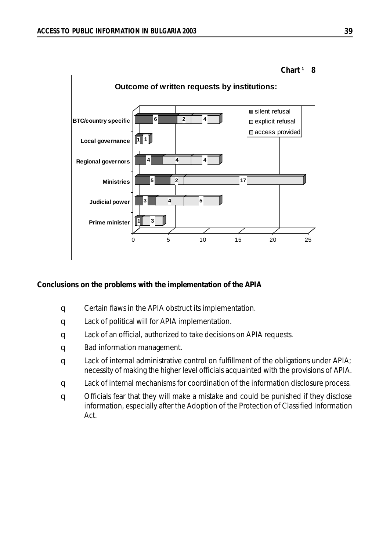

#### **Conclusions on the problems with the implementation of the APIA**

- q Certain flaws in the APIA obstruct its implementation.
- q Lack of political will for APIA implementation.
- q Lack of an official, authorized to take decisions on APIA requests.
- q Bad information management.
- q Lack of internal administrative control on fulfillment of the obligations under APIA; necessity of making the higher level officials acquainted with the provisions of APIA.
- q Lack of internal mechanisms for coordination of the information disclosure process.
- q Officials fear that they will make a mistake and could be punished if they disclose information, especially after the Adoption of the Protection of Classified Information Act.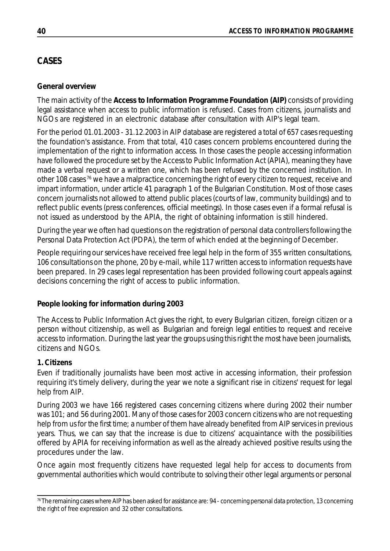# **CASES**

## **General overview**

The main activity of the **Access to Information Programme Foundation (AIP)** consists of providing legal assistance when access to public information is refused. Cases from citizens, journalists and NGOs are registered in an electronic database after consultation with AIP's legal team.

For the period 01.01.2003 - 31.12.2003 in AIP database are registered a total of 657 cases requesting the foundation's assistance. From that total, 410 cases concern problems encountered during the implementation of the right to information access. In those cases the people accessing information have followed the procedure set by the Access to Public Information Act (APIA), meaning they have made a verbal request or a written one, which has been refused by the concerned institution. In other 108 cases <sup>76</sup> we have a malpractice concerning the right of every citizen to request, receive and impart information, under article 41 paragraph 1 of the Bulgarian Constitution. Most of those cases concern journalists not allowed to attend public places (courts of law, community buildings) and to reflect public events (press conferences, official meetings). In those cases even if a formal refusal is not issued as understood by the APIA, the right of obtaining information is still hindered.

During the year we often had questions on the registration of personal data controllers following the Personal Data Protection Act (PDPA), the term of which ended at the beginning of December.

People requiring our services have received free legal help in the form of 355 written consultations, 106 consultations on the phone, 20 by e-mail, while 117 written access to information requests have been prepared. In 29 cases legal representation has been provided following court appeals against decisions concerning the right of access to public information.

### **People looking for information during 2003**

The Access to Public Information Act gives the right, to every Bulgarian citizen, foreign citizen or a person without citizenship, as well as Bulgarian and foreign legal entities to request and receive access to information. During the last year the groups using this right the most have been journalists, citizens and NGOs.

## **1. Citizens**

Even if traditionally journalists have been most active in accessing information, their profession requiring it's timely delivery, during the year we note a significant rise in citizens' request for legal help from AIP.

During 2003 we have 166 registered cases concerning citizens where during 2002 their number was 101; and 56 during 2001. Many of those cases for 2003 concern citizens who are not requesting help from us for the first time; a number of them have already benefited from AIP services in previous years. Thus, we can say that the increase is due to citizens' acquaintance with the possibilities offered by APIA for receiving information as well as the already achieved positive results using the procedures under the law.

Once again most frequently citizens have requested legal help for access to documents from governmental authorities which would contribute to solving their other legal arguments or personal

<sup>&</sup>lt;sup>76</sup>The remaining cases where AIP has been asked for assistance are: 94 - concerning personal data protection, 13 concerning the right of free expression and 32 other consultations.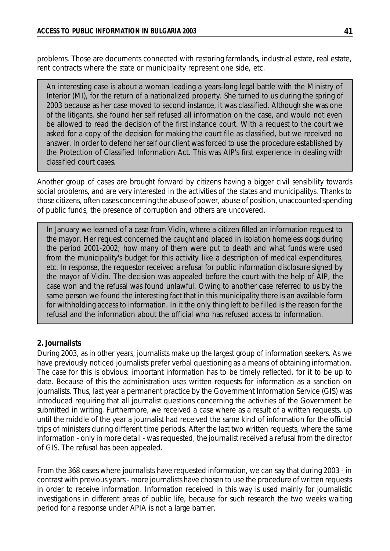problems. Those are documents connected with restoring farmlands, industrial estate, real estate, rent contracts where the state or municipality represent one side, etc.

An interesting case is about a woman leading a years-long legal battle with the Ministry of Interior (MI), for the return of a nationalized property. She turned to us during the spring of 2003 because as her case moved to second instance, it was classified. Although she was one of the litigants, she found her self refused all information on the case, and would not even be allowed to read the decision of the first instance court. With a request to the court we asked for a copy of the decision for making the court file as classified, but we received no answer. In order to defend her self our client was forced to use the procedure established by the Protection of Classified Information Act. This was AIP's first experience in dealing with classified court cases.

Another group of cases are brought forward by citizens having a bigger civil sensibility towards social problems, and are very interested in the activities of the states and municipalitys. Thanks to those citizens, often cases concerning the abuse of power, abuse of position, unaccounted spending of public funds, the presence of corruption and others are uncovered.

In January we learned of a case from Vidin, where a citizen filled an information request to the mayor. Her request concerned the caught and placed in isolation homeless dogs during the period 2001-2002; how many of them were put to death and what funds were used from the municipality's budget for this activity like a description of medical expenditures, etc. In response, the requestor received a refusal for public information disclosure signed by the mayor of Vidin. The decision was appealed before the court with the help of AIP, the case won and the refusal was found unlawful. Owing to another case referred to us by the same person we found the interesting fact that in this municipality there is an available form for withholding access to information. In it the only thing left to be filled is the reason for the refusal and the information about the official who has refused access to information.

### **2. Journalists**

During 2003, as in other years, journalists make up the largest group of information seekers. As we have previously noticed journalists prefer verbal questioning as a means of obtaining information. The case for this is obvious: important information has to be timely reflected, for it to be up to date. Because of this the administration uses written requests for information as a sanction on journalists. Thus, last year a permanent practice by the Government Information Service (GIS) was introduced requiring that all journalist questions concerning the activities of the Government be submitted in writing. Furthermore, we received a case where as a result of a written requests, up until the middle of the year a journalist had received the same kind of information for the official trips of ministers during different time periods. After the last two written requests, where the same information - only in more detail - was requested, the journalist received a refusal from the director of GIS. The refusal has been appealed.

From the 368 cases where journalists have requested information, we can say that during 2003 - in contrast with previous years - more journalists have chosen to use the procedure of written requests in order to receive information. Information received in this way is used mainly for journalistic investigations in different areas of public life, because for such research the two weeks waiting period for a response under APIA is not a large barrier.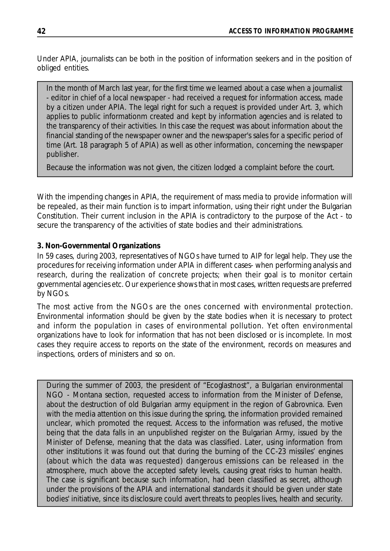Under APIA, journalists can be both in the position of information seekers and in the position of obliged entities.

In the month of March last year, for the first time we learned about a case when a journalist - editor in chief of a local newspaper - had received a request for information access, made by a citizen under APIA. The legal right for such a request is provided under Art. 3, which applies to public informationm created and kept by information agencies and is related to the transparency of their activities. In this case the request was about information about the financial standing of the newspaper owner and the newspaper's sales for a specific period of time (Art. 18 paragraph 5 of APIA) as well as other information, concerning the newspaper publisher.

Because the information was not given, the citizen lodged a complaint before the court.

With the impending changes in APIA, the requirement of mass media to provide information will be repealed, as their main function is to impart information, using their right under the Bulgarian Constitution. Their current inclusion in the APIA is contradictory to the purpose of the Act - to secure the transparency of the activities of state bodies and their administrations.

### **3. Non-Governmental Organizations**

In 59 cases, during 2003, representatives of NGOs have turned to AIP for legal help. They use the procedures for receiving information under APIA in different cases- when performing analysis and research, during the realization of concrete projects; when their goal is to monitor certain governmental agencies etc. Our experience shows that in most cases, written requests are preferred by NGOs.

The most active from the NGOs are the ones concerned with environmental protection. Environmental information should be given by the state bodies when it is necessary to protect and inform the population in cases of environmental pollution. Yet often environmental organizations have to look for information that has not been disclosed or is incomplete. In most cases they require access to reports on the state of the environment, records on measures and inspections, orders of ministers and so on.

During the summer of 2003, the president of "Ecoglastnost", a Bulgarian environmental NGO - Montana section, requested access to information from the Minister of Defense, about the destruction of old Bulgarian army equipment in the region of Gabrovnica. Even with the media attention on this issue during the spring, the information provided remained unclear, which promoted the request. Access to the information was refused, the motive being that the data falls in an unpublished register on the Bulgarian Army, issued by the Minister of Defense, meaning that the data was classified. Later, using information from other institutions it was found out that during the burning of the CC-23 missiles' engines (about which the data was requested) dangerous emissions can be released in the atmosphere, much above the accepted safety levels, causing great risks to human health. The case is significant because such information, had been classified as secret, although under the provisions of the APIA and international standards it should be given under state bodies' initiative, since its disclosure could avert threats to peoples lives, health and security.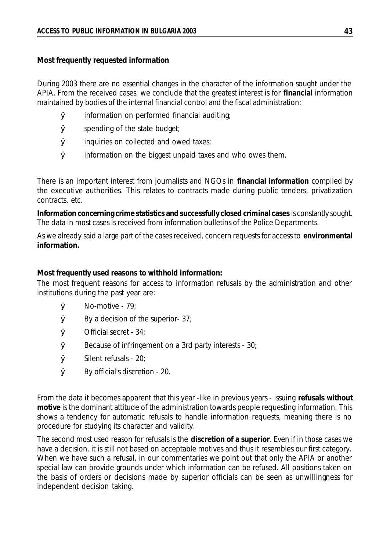#### **Most frequently requested information**

During 2003 there are no essential changes in the character of the information sought under the APIA. From the received cases, we conclude that the greatest interest is for **financial** information maintained by bodies of the internal financial control and the fiscal administration:

- $\boldsymbol{\emptyset}$  information on performed financial auditing;
- $\boldsymbol{\emptyset}$  spending of the state budget;
- $\boldsymbol{\emptyset}$  inquiries on collected and owed taxes;
- $\boldsymbol{\emptyset}$  information on the biggest unpaid taxes and who owes them.

There is an important interest from journalists and NGOs in **financial information** compiled by the executive authorities. This relates to contracts made during public tenders, privatization contracts, etc.

**Information concerning crime statistics and successfully closed criminal cases** is constantly sought. The data in most cases is received from information bulletins of the Police Departments.

As we already said a large part of the cases received, concern requests for access to **environmental information.**

#### **Most frequently used reasons to withhold information:**

The most frequent reasons for access to information refusals by the administration and other institutions during the past year are:

- $\boldsymbol{\emptyset}$  No-motive 79;
- $\boldsymbol{\emptyset}$  By a decision of the superior- 37;
- $\boldsymbol{\emptyset}$  Official secret 34;
- $\boldsymbol{\emptyset}$  Because of infringement on a 3rd party interests 30;
- $\boldsymbol{\emptyset}$  Silent refusals 20;
- Ø By official's discretion 20.

From the data it becomes apparent that this year -like in previous years - issuing **refusals without motive** is the dominant attitude of the administration towards people requesting information. This shows a tendency for automatic refusals to handle information requests, meaning there is no procedure for studying its character and validity.

The second most used reason for refusals is the **discretion of a superior**. Even if in those cases we have a decision, it is still not based on acceptable motives and thus it resembles our first category. When we have such a refusal, in our commentaries we point out that only the APIA or another special law can provide grounds under which information can be refused. All positions taken on the basis of orders or decisions made by superior officials can be seen as unwillingness for independent decision taking.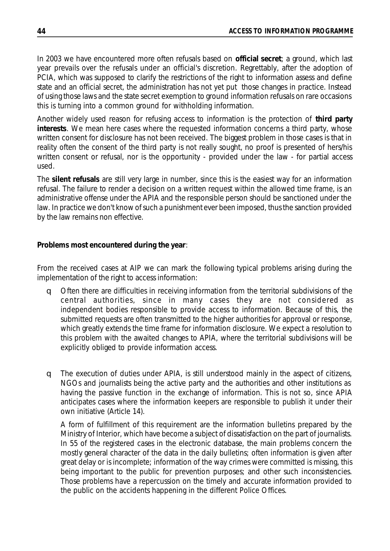In 2003 we have encountered more often refusals based on **official secret**; a ground, which last year prevails over the refusals under an official's discretion. Regrettably, after the adoption of PCIA, which was supposed to clarify the restrictions of the right to information assess and define state and an official secret, the administration has not yet put those changes in practice. Instead of using those laws and the state secret exemption to ground information refusals on rare occasions this is turning into a common ground for withholding information.

Another widely used reason for refusing access to information is the protection of **third party interests**. We mean here cases where the requested information concerns a third party, whose written consent for disclosure has not been received. The biggest problem in those cases is that in reality often the consent of the third party is not really sought, no proof is presented of hers/his written consent or refusal, nor is the opportunity - provided under the law - for partial access used.

The **silent refusals** are still very large in number, since this is the easiest way for an information refusal. The failure to render a decision on a written request within the allowed time frame, is an administrative offense under the APIA and the responsible person should be sanctioned under the law. In practice we don't know of such a punishment ever been imposed, thus the sanction provided by the law remains non effective.

### **Problems most encountered during the year**:

From the received cases at AIP we can mark the following typical problems arising during the implementation of the right to access information:

- q Often there are difficulties in receiving information from the territorial subdivisions of the central authorities, since in many cases they are not considered as independent bodies responsible to provide access to information. Because of this, the submitted requests are often transmitted to the higher authorities for approval or response, which greatly extends the time frame for information disclosure. We expect a resolution to this problem with the awaited changes to APIA, where the territorial subdivisions will be explicitly obliged to provide information access.
- q The execution of duties under APIA, is still understood mainly in the aspect of citizens, NGOs and journalists being the active party and the authorities and other institutions as having the passive function in the exchange of information. This is not so, since APIA anticipates cases where the information keepers are responsible to publish it under their own initiative (Article 14).

A form of fulfillment of this requirement are the information bulletins prepared by the Ministry of Interior, which have become a subject of dissatisfaction on the part of journalists. In 55 of the registered cases in the electronic database, the main problems concern the mostly general character of the data in the daily bulletins; often information is given after great delay or is incomplete; information of the way crimes were committed is missing, this being important to the public for prevention purposes; and other such inconsistencies. Those problems have a repercussion on the timely and accurate information provided to the public on the accidents happening in the different Police Offices.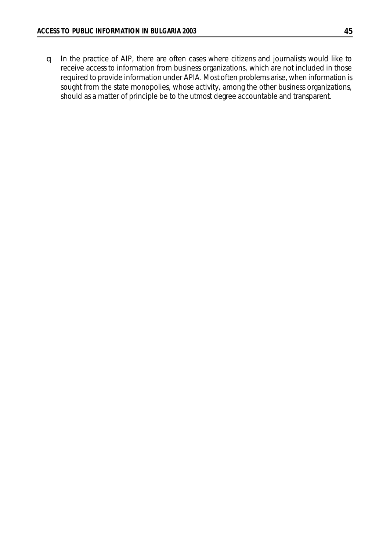q In the practice of AIP, there are often cases where citizens and journalists would like to receive access to information from business organizations, which are not included in those required to provide information under APIA. Most often problems arise, when information is sought from the state monopolies, whose activity, among the other business organizations, should as a matter of principle be to the utmost degree accountable and transparent.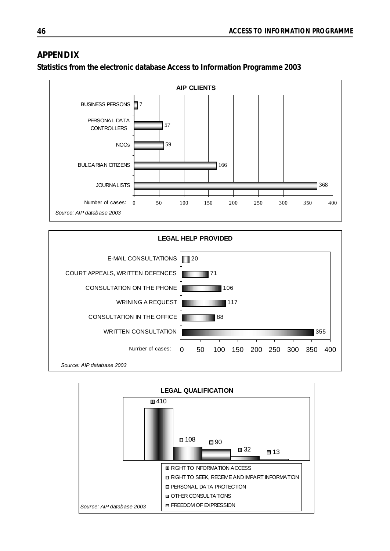## **APPENDIX**



**Statistics from the electronic database Access to Information Programme 2003**



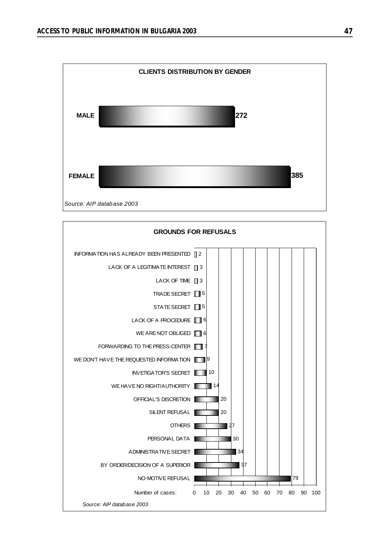

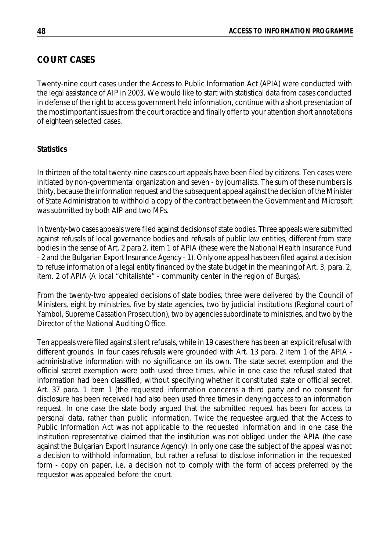# **COURT CASES**

Twenty-nine court cases under the Access to Public Information Act (APIA) were conducted with the legal assistance of AIP in 2003. We would like to start with statistical data from cases conducted in defense of the right to access government held information, continue with a short presentation of the most important issues from the court practice and finally offer to your attention short annotations of eighteen selected cases.

## **Statistics**

In thirteen of the total twenty-nine cases court appeals have been filed by citizens. Ten cases were initiated by non-governmental organization and seven - by journalists. The sum of these numbers is thirty, because the information request and the subsequent appeal against the decision of the Minister of State Administration to withhold a copy of the contract between the Government and Microsoft was submitted by both AIP and two MPs.

In twenty-two cases appeals were filed against decisions of state bodies. Three appeals were submitted against refusals of local governance bodies and refusals of public law entities, different from state bodies in the sense of Art. 2 para 2. item 1 of APIA (these were the National Health Insurance Fund - 2 and the Bulgarian Export Insurance Agency - 1). Only one appeal has been filed against a decision to refuse information of a legal entity financed by the state budget in the meaning of Art. 3, para. 2, item. 2 of APIA (A local "chitalishte" - community center in the region of Burgas).

From the twenty-two appealed decisions of state bodies, three were delivered by the Council of Ministers, eight by ministries, five by state agencies, two by judicial institutions (Regional court of Yambol, Supreme Cassation Prosecution), two by agencies subordinate to ministries, and two by the Director of the National Auditing Office.

Ten appeals were filed against silent refusals, while in 19 cases there has been an explicit refusal with different grounds. In four cases refusals were grounded with Art. 13 para. 2 item 1 of the APIA administrative information with no significance on its own. The state secret exemption and the official secret exemption were both used three times, while in one case the refusal stated that information had been classified, without specifying whether it constituted state or official secret. Art. 37 para. 1 item 1 (the requested information concerns a third party and no consent for disclosure has been received) had also been used three times in denying access to an information request. In one case the state body argued that the submitted request has been for access to personal data, rather than public information. Twice the requestee argued that the Access to Public Information Act was not applicable to the requested information and in one case the institution representative claimed that the institution was not obliged under the APIA (the case against the Bulgarian Export Insurance Agency). In only one case the subject of the appeal was not a decision to withhold information, but rather a refusal to disclose information in the requested form - copy on paper, i.e. a decision not to comply with the form of access preferred by the requestor was appealed before the court.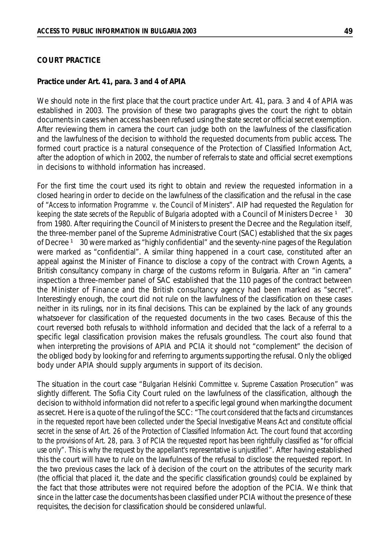#### **Practice under Art. 41, para. 3 and 4 of APIA**

We should note in the first place that the court practice under Art. 41, para. 3 and 4 of APIA was established in 2003. The provision of these two paragraphs gives the court the right to obtain documents in cases when access has been refused using the state secret or official secret exemption. After reviewing them in camera the court can judge both on the lawfulness of the classification and the lawfulness of the decision to withhold the requested documents from public access. The formed court practice is a natural consequence of the Protection of Classified Information Act, after the adoption of which in 2002, the number of referrals to state and official secret exemptions in decisions to withhold information has increased.

For the first time the court used its right to obtain and review the requested information in a closed hearing in order to decide on the lawfulness of the classification and the refusal in the case of "*Access to information Programme v. the Council of Ministers*". AIP had requested the *Regulation for keeping the state secrets of the Republic of Bulgaria* adopted with a Council of Ministers Decree <sup>1</sup> 30 from 1980. After requiring the Council of Ministers to present the Decree and the Regulation itself, the three-member panel of the Supreme Administrative Court (SAC) established that the six pages of Decree <sup>1</sup> 30 were marked as "highly confidential" and the seventy-nine pages of the Regulation were marked as "confidential". A similar thing happened in a court case, constituted after an appeal against the Minister of Finance to disclose a copy of the contract with Crown Agents, a British consultancy company in charge of the customs reform in Bulgaria. After an "in camera" inspection a three-member panel of SAC established that the 110 pages of the contract between the Minister of Finance and the British consultancy agency had been marked as "secret". Interestingly enough, the court did not rule on the lawfulness of the classification on these cases neither in its rulings, nor in its final decisions. This can be explained by the lack of any grounds whatsoever for classification of the requested documents in the two cases. Because of this the court reversed both refusals to withhold information and decided that the lack of a referral to a specific legal classification provision makes the refusals groundless. The court also found that when interpreting the provisions of APIA and PCIA it should not "complement" the decision of the obliged body by looking for and referring to arguments supporting the refusal. Only the obliged body under APIA should supply arguments in support of its decision.

The situation in the court case "*Bulgarian Helsinki Committee v. Supreme Cassation Prosecution*" was slightly different. The Sofia City Court ruled on the lawfulness of the classification, although the decision to withhold information did not refer to a specific legal ground when marking the document as secret. Here is a quote of the ruling of the SCC: "*The court considered that the facts and circumstances in the requested report have been collected under the Special Investigative Means Act and constitute official* secret in the sense of Art. 26 of the Protection of Classified Information Act. The court found that according to the provisions of Art. 28, para. 3 of PCIA the requested report has been rightfully classified as "for official *use only". This is why the request by the appellant's representative is unjustified*". After having established this the court will have to rule on the lawfulness of the refusal to disclose the requested report. In the two previous cases the lack of à decision of the court on the attributes of the security mark (the official that placed it, the date and the specific classification grounds) could be explained by the fact that those attributes were not required before the adoption of the PCIA. We think that since in the latter case the documents has been classified under PCIA without the presence of these requisites, the decision for classification should be considered unlawful.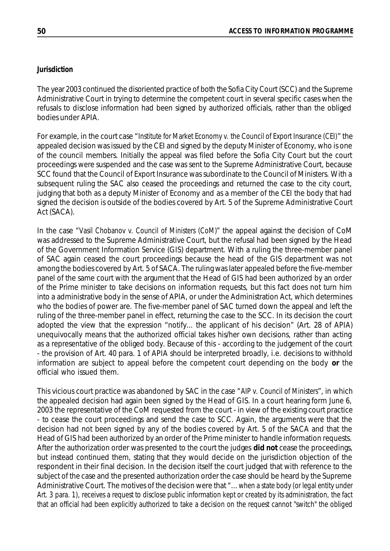### *Jurisdiction*

The year 2003 continued the disoriented practice of both the Sofia City Court (SCC) and the Supreme Administrative Court in trying to determine the competent court in several specific cases when the refusals to disclose information had been signed by authorized officials, rather than the obliged bodies under APIA.

For example, in the court case "*Institute for Market Economy v. the Council of Export Insurance (CEI)*" the appealed decision was issued by the CEI and signed by the deputy Minister of Economy, who is one of the council members. Initially the appeal was filed before the Sofia City Court but the court proceedings were suspended and the case was sent to the Supreme Administrative Court, because SCC found that the Council of Export Insurance was subordinate to the Council of Ministers. With a subsequent ruling the SAC also ceased the proceedings and returned the case to the city court, judging that both as a deputy Minister of Economy and as a member of the CEI the body that had signed the decision is outside of the bodies covered by Art. 5 of the Supreme Administrative Court Act (SACA).

In the case "*Vasil Chobanov v. Council of Ministers (CoM)*" the appeal against the decision of CoM was addressed to the Supreme Administrative Court, but the refusal had been signed by the Head of the Government Information Service (GIS) department. With a ruling the three-member panel of SAC again ceased the court proceedings because the head of the GIS department was not among the bodies covered by Art. 5 of SACA. The ruling was later appealed before the five-member panel of the same court with the argument that the Head of GIS had been authorized by an order of the Prime minister to take decisions on information requests, but this fact does not turn him into a administrative body in the sense of APIA, or under the Administration Act, which determines who the bodies of power are. The five-member panel of SAC turned down the appeal and left the ruling of the three-member panel in effect, returning the case to the SCC. In its decision the court adopted the view that the expression "notify... the applicant of his decision" (Art. 28 of APIA) unequivocally means that the authorized official takes his/her own decisions, rather than acting as a representative of the obliged body. Because of this - according to the judgement of the court - the provision of Art. 40 para. 1 of APIA should be interpreted broadly, i.e. decisions to withhold information are subject to appeal before the competent court depending on the body **or** the official who issued them.

This vicious court practice was abandoned by SAC in the case "*AIP v. Council of Ministers*", in which the appealed decision had again been signed by the Head of GIS. In a court hearing form June 6, 2003 the representative of the CoM requested from the court - in view of the existing court practice - to cease the court proceedings and send the case to SCC. Again, the arguments were that the decision had not been signed by any of the bodies covered by Art. 5 of the SACA and that the Head of GIS had been authorized by an order of the Prime minister to handle information requests. After the authorization order was presented to the court the judges **did not** cease the proceedings, but instead continued them, stating that they would decide on the jurisdiction objection of the respondent in their final decision. In the decision itself the court judged that with reference to the subject of the case and the presented authorization order the case should be heard by the Supreme Administrative Court. The motives of the decision were that "... *when a state body (or legal entity under* Art. 3 para. 1), receives a request to disclose public information kept or created by its administration, the fact that an official had been explicitly authorized to take a decision on the request cannot "switch" the obliged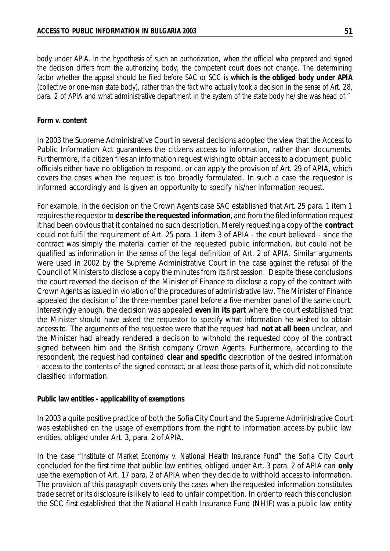*body under APIA. In the hypothesis of such an authorization, when the official who prepared and signed the decision differs from the authorizing body, the competent court does not change. The determining* factor whether the appeal should be filed before SAC or SCC is which is the obliged body under APIA (collective or one-man state body), rather than the fact who actually took a decision in the sense of Art. 28, para. 2 of APIA and what administrative department in the system of the state body he/she was head of."

#### *Form v. content*

In 2003 the Supreme Administrative Court in several decisions adopted the view that the Access to Public Information Act guarantees the citizens access to information, rather than documents. Furthermore, if a citizen files an information request wishing to obtain access to a document, public officials either have no obligation to respond, or can apply the provision of Art. 29 of APIA, which covers the cases when the request is too broadly formulated. In such a case the requestor is informed accordingly and is given an opportunity to specify his/her information request.

For example, in the decision on the Crown Agents case SAC established that Art. 25 para. 1 item 1 requires the requestor to **describe the requested information**, and from the filed information request it had been obvious that it contained no such description. Merely requesting a copy of the **contract** could not fulfil the requirement of Art. 25 para. 1 item 3 of APIA - the court believed - since the contract was simply the material carrier of the requested public information, but could not be qualified as information in the sense of the legal definition of Art. 2 of APIA. Similar arguments were used in 2002 by the Supreme Administrative Court in the case against the refusal of the Council of Ministers to disclose a copy the minutes from its first session. Despite these conclusions the court reversed the decision of the Minister of Finance to disclose a copy of the contract with Crown Agents as issued in violation of the procedures of administrative law. The Minister of Finance appealed the decision of the three-member panel before a five-member panel of the same court. Interestingly enough, the decision was appealed **even in its part** where the court established that the Minister should have asked the requestor to specify what information he wished to obtain access to. The arguments of the requestee were that the request had **not at all been** unclear, and the Minister had already rendered a decision to withhold the requested copy of the contract signed between him and the British company Crown Agents. Furthermore, according to the respondent, the request had contained **clear and specific** description of the desired information - access to the contents of the signed contract, or at least those parts of it, which did not constitute classified information.

#### *Public law entities - applicability of exemptions*

In 2003 a quite positive practice of both the Sofia City Court and the Supreme Administrative Court was established on the usage of exemptions from the right to information access by public law entities, obliged under Art. 3, para. 2 of APIA.

In the case "*Institute of Market Economy v. National Health Insurance Fund*" the Sofia City Court concluded for the first time that public law entities, obliged under Art. 3 para. 2 of APIA can **only** use the exemption of Art. 17 para. 2 of APIA when they decide to withhold access to information. The provision of this paragraph covers only the cases when the requested information constitutes trade secret or its disclosure is likely to lead to unfair competition. In order to reach this conclusion the SCC first established that the National Health Insurance Fund (NHIF) was a public law entity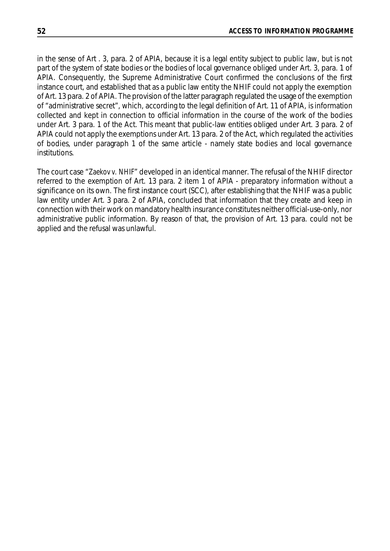in the sense of Art . 3, para. 2 of APIA, because it is a legal entity subject to public law, but is not part of the system of state bodies or the bodies of local governance obliged under Art. 3, para. 1 of APIA. Consequently, the Supreme Administrative Court confirmed the conclusions of the first instance court, and established that as a public law entity the NHIF could not apply the exemption of Art. 13 para. 2 of APIA. The provision of the latter paragraph regulated the usage of the exemption of "administrative secret", which, according to the legal definition of Art. 11 of APIA, is information collected and kept in connection to official information in the course of the work of the bodies under Art. 3 para. 1 of the Act. This meant that public-law entities obliged under Art. 3 para. 2 of APIA could not apply the exemptions under Art. 13 para. 2 of the Act, which regulated the activities of bodies, under paragraph 1 of the same article - namely state bodies and local governance institutions.

The court case "*Zaekov v. NHIF*" developed in an identical manner. The refusal of the NHIF director referred to the exemption of Art. 13 para. 2 item 1 of APIA - preparatory information without a significance on its own. The first instance court (SCC), after establishing that the NHIF was a public law entity under Art. 3 para. 2 of APIA, concluded that information that they create and keep in connection with their work on mandatory health insurance constitutes neither official-use-only, nor administrative public information. By reason of that, the provision of Art. 13 para. could not be applied and the refusal was unlawful.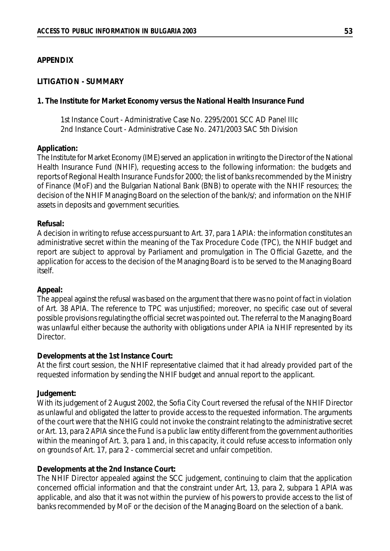#### **APPENDIX**

#### **LITIGATION - SUMMARY**

#### **1. The Institute for Market Economy versus the National Health Insurance Fund**

1st Instance Court - Administrative Case No. 2295/2001 SCC AD Panel IIIc 2nd Instance Court - Administrative Case No. 2471/2003 SAC 5th Division

#### **Application:**

The Institute for Market Economy (IME) served an application in writing to the Director of the National Health Insurance Fund (NHIF), requesting access to the following information: the budgets and reports of Regional Health Insurance Funds for 2000; the list of banks recommended by the Ministry of Finance (MoF) and the Bulgarian National Bank (BNB) to operate with the NHIF resources; the decision of the NHIF Managing Board on the selection of the bank/s/; and information on the NHIF assets in deposits and government securities.

#### **Refusal:**

A decision in writing to refuse access pursuant to Art. 37, para 1 APIA: the information constitutes an administrative secret within the meaning of the Tax Procedure Code (TPC), the NHIF budget and report are subject to approval by Parliament and promulgation in The Official Gazette, and the application for access to the decision of the Managing Board is to be served to the Managing Board itself.

#### **Appeal:**

The appeal against the refusal was based on the argument that there was no point of fact in violation of Art. 38 APIA. The reference to TPC was unjustified; moreover, no specific case out of several possible provisions regulating the official secret was pointed out. The referral to the Managing Board was unlawful either because the authority with obligations under APIA ia NHIF represented by its Director.

#### **Developments at the 1st Instance Court:**

At the first court session, the NHIF representative claimed that it had already provided part of the requested information by sending the NHIF budget and annual report to the applicant.

#### **Judgement:**

With its judgement of 2 August 2002, the Sofia City Court reversed the refusal of the NHIF Director as unlawful and obligated the latter to provide access to the requested information. The arguments of the court were that the NHIG could not invoke the constraint relating to the administrative secret or Art. 13, para 2 APIA since the Fund is a public law entity different from the government authorities within the meaning of Art. 3, para 1 and, in this capacity, it could refuse access to information only on grounds of Art. 17, para 2 - commercial secret and unfair competition.

#### **Developments at the 2nd Instance Court:**

The NHIF Director appealed against the SCC judgement, continuing to claim that the application concerned official information and that the constraint under Art, 13, para 2, subpara 1 APIA was applicable, and also that it was not within the purview of his powers to provide access to the list of banks recommended by MoF or the decision of the Managing Board on the selection of a bank.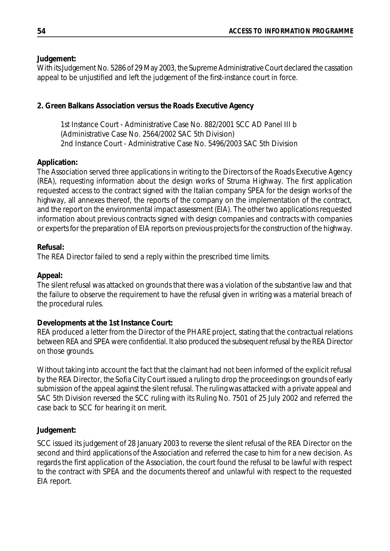### **Judgement:**

With its Judgement No. 5286 of 29 May 2003, the Supreme Administrative Court declared the cassation appeal to be unjustified and left the judgement of the first-instance court in force.

## **2. Green Balkans Association versus the Roads Executive Agency**

1st Instance Court - Administrative Case No. 882/2001 SCC AD Panel III b (Administrative Case No. 2564/2002 SAC 5th Division) 2nd Instance Court - Administrative Case No. 5496/2003 SAC 5th Division

## **Application:**

The Association served three applications in writing to the Directors of the Roads Executive Agency (REA), requesting information about the design works of Struma Highway. The first application requested access to the contract signed with the Italian company SPEA for the design works of the highway, all annexes thereof, the reports of the company on the implementation of the contract, and the report on the environmental impact assessment (EIA). The other two applications requested information about previous contracts signed with design companies and contracts with companies or experts for the preparation of EIA reports on previous projects for the construction of the highway.

### **Refusal:**

The REA Director failed to send a reply within the prescribed time limits.

### **Appeal:**

The silent refusal was attacked on grounds that there was a violation of the substantive law and that the failure to observe the requirement to have the refusal given in writing was a material breach of the procedural rules.

### **Developments at the 1st Instance Court:**

REA produced a letter from the Director of the PHARE project, stating that the contractual relations between REA and SPEA were confidential. It also produced the subsequent refusal by the REA Director on those grounds.

Without taking into account the fact that the claimant had not been informed of the explicit refusal by the REA Director, the Sofia City Court issued a ruling to drop the proceedings on grounds of early submission of the appeal against the silent refusal. The ruling was attacked with a private appeal and SAC 5th Division reversed the SCC ruling with its Ruling No. 7501 of 25 July 2002 and referred the case back to SCC for hearing it on merit.

## **Judgement:**

SCC issued its judgement of 28 January 2003 to reverse the silent refusal of the REA Director on the second and third applications of the Association and referred the case to him for a new decision. As regards the first application of the Association, the court found the refusal to be lawful with respect to the contract with SPEA and the documents thereof and unlawful with respect to the requested EIA report.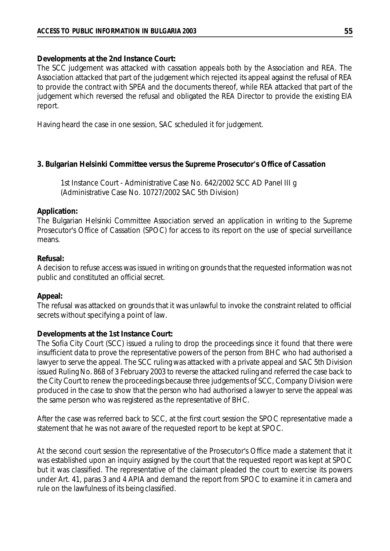#### **Developments at the 2nd Instance Court:**

The SCC judgement was attacked with cassation appeals both by the Association and REA. The Association attacked that part of the judgement which rejected its appeal against the refusal of REA to provide the contract with SPEA and the documents thereof, while REA attacked that part of the judgement which reversed the refusal and obligated the REA Director to provide the existing EIA report.

Having heard the case in one session, SAC scheduled it for judgement.

#### **3. Bulgarian Helsinki Committee versus the Supreme Prosecutor's Office of Cassation**

1st Instance Court - Administrative Case No. 642/2002 SCC AD Panel III g (Administrative Case No. 10727/2002 SAC 5th Division)

#### **Application:**

The Bulgarian Helsinki Committee Association served an application in writing to the Supreme Prosecutor's Office of Cassation (SPOC) for access to its report on the use of special surveillance means.

#### **Refusal:**

A decision to refuse access was issued in writing on grounds that the requested information was not public and constituted an official secret.

### **Appeal:**

The refusal was attacked on grounds that it was unlawful to invoke the constraint related to official secrets without specifying a point of law.

### **Developments at the 1st Instance Court:**

The Sofia City Court (SCC) issued a ruling to drop the proceedings since it found that there were insufficient data to prove the representative powers of the person from BHC who had authorised a lawyer to serve the appeal. The SCC ruling was attacked with a private appeal and SAC 5th Division issued Ruling No. 868 of 3 February 2003 to reverse the attacked ruling and referred the case back to the City Court to renew the proceedings because three judgements of SCC, Company Division were produced in the case to show that the person who had authorised a lawyer to serve the appeal was the same person who was registered as the representative of BHC.

After the case was referred back to SCC, at the first court session the SPOC representative made a statement that he was not aware of the requested report to be kept at SPOC.

At the second court session the representative of the Prosecutor's Office made a statement that it was established upon an inquiry assigned by the court that the requested report was kept at SPOC but it was classified. The representative of the claimant pleaded the court to exercise its powers under Art. 41, paras 3 and 4 APIA and demand the report from SPOC to examine it in camera and rule on the lawfulness of its being classified.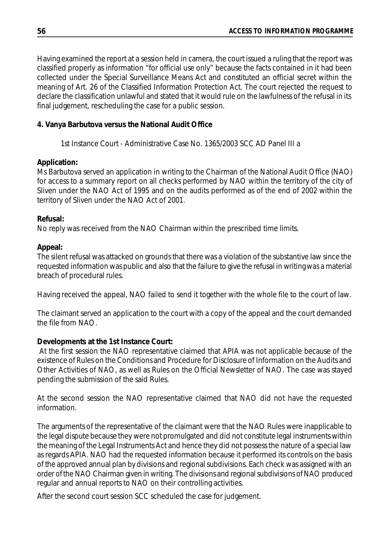Having examined the report at a session held in camera, the court issued a ruling that the report was classified properly as information "for official use only" because the facts contained in it had been collected under the Special Surveillance Means Act and constituted an official secret within the meaning of Art. 26 of the Classified Information Protection Act. The court rejected the request to declare the classification unlawful and stated that it would rule on the lawfulness of the refusal in its final judgement, rescheduling the case for a public session.

## **4. Vanya Barbutova versus the National Audit Office**

1st Instance Court - Administrative Case No. 1365/2003 SCC AD Panel III a

## **Application:**

Ms Barbutova served an application in writing to the Chairman of the National Audit Office (NAO) for access to a summary report on all checks performed by NAO within the territory of the city of Sliven under the NAO Act of 1995 and on the audits performed as of the end of 2002 within the territory of Sliven under the NAO Act of 2001.

## **Refusal:**

No reply was received from the NAO Chairman within the prescribed time limits.

## **Appeal:**

The silent refusal was attacked on grounds that there was a violation of the substantive law since the requested information was public and also that the failure to give the refusal in writing was a material breach of procedural rules.

Having received the appeal, NAO failed to send it together with the whole file to the court of law.

The claimant served an application to the court with a copy of the appeal and the court demanded the file from NAO.

## **Developments at the 1st Instance Court:**

At the first session the NAO representative claimed that APIA was not applicable because of the existence of Rules on the Conditions and Procedure for Disclosure of Information on the Audits and Other Activities of NAO, as well as Rules on the Official Newsletter of NAO. The case was stayed pending the submission of the said Rules.

At the second session the NAO representative claimed that NAO did not have the requested information.

The arguments of the representative of the claimant were that the NAO Rules were inapplicable to the legal dispute because they were not promulgated and did not constitute legal instruments within the meaning of the Legal Instruments Act and hence they did not possess the nature of a special law as regards APIA. NAO had the requested information because it performed its controls on the basis of the approved annual plan by divisions and regional subdivisions. Each check was assigned with an order of the NAO Chairman given in writing. The divisions and regional subdivisions of NAO produced regular and annual reports to NAO on their controlling activities.

After the second court session SCC scheduled the case for judgement.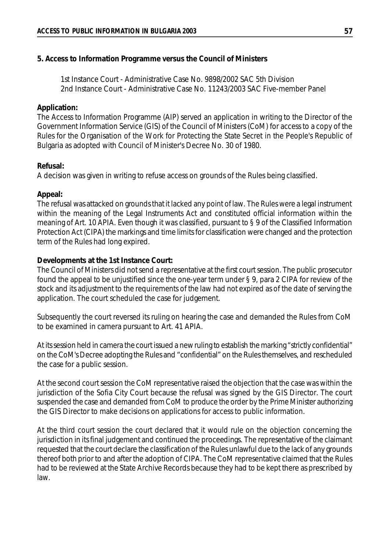### **5. Access to Information Programme versus the Council of Ministers**

1st Instance Court - Administrative Case No. 9898/2002 SAC 5th Division 2nd Instance Court - Administrative Case No. 11243/2003 SAC Five-member Panel

#### **Application:**

The Access to Information Programme (AIP) served an application in writing to the Director of the Government Information Service (GIS) of the Council of Ministers (CoM) for access to a copy of the Rules for the Organisation of the Work for Protecting the State Secret in the People's Republic of Bulgaria as adopted with Council of Minister's Decree No. 30 of 1980.

#### **Refusal:**

A decision was given in writing to refuse access on grounds of the Rules being classified.

### **Appeal:**

The refusal was attacked on grounds that it lacked any point of law. The Rules were a legal instrument within the meaning of the Legal Instruments Act and constituted official information within the meaning of Art. 10 APIA. Even though it was classified, pursuant to § 9 of the Classified Information Protection Act (CIPA) the markings and time limits for classification were changed and the protection term of the Rules had long expired.

### **Developments at the 1st Instance Court:**

The Council of Ministers did not send a representative at the first court session. The public prosecutor found the appeal to be unjustified since the one-year term under § 9, para 2 CIPA for review of the stock and its adjustment to the requirements of the law had not expired as of the date of serving the application. The court scheduled the case for judgement.

Subsequently the court reversed its ruling on hearing the case and demanded the Rules from CoM to be examined in camera pursuant to Art. 41 APIA.

At its session held in camera the court issued a new ruling to establish the marking "strictly confidential" on the CoM's Decree adopting the Rules and "confidential" on the Rules themselves, and rescheduled the case for a public session.

At the second court session the CoM representative raised the objection that the case was within the jurisdiction of the Sofia City Court because the refusal was signed by the GIS Director. The court suspended the case and demanded from CoM to produce the order by the Prime Minister authorizing the GIS Director to make decisions on applications for access to public information.

At the third court session the court declared that it would rule on the objection concerning the jurisdiction in its final judgement and continued the proceedings. The representative of the claimant requested that the court declare the classification of the Rules unlawful due to the lack of any grounds thereof both prior to and after the adoption of CIPA. The CoM representative claimed that the Rules had to be reviewed at the State Archive Records because they had to be kept there as prescribed by law.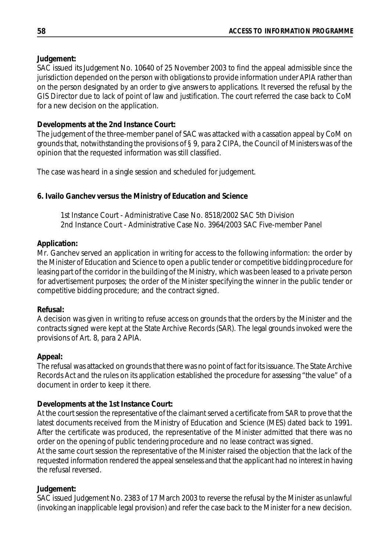## **Judgement:**

SAC issued its Judgement No. 10640 of 25 November 2003 to find the appeal admissible since the jurisdiction depended on the person with obligations to provide information under APIA rather than on the person designated by an order to give answers to applications. It reversed the refusal by the GIS Director due to lack of point of law and justification. The court referred the case back to CoM for a new decision on the application.

## **Developments at the 2nd Instance Court:**

The judgement of the three-member panel of SAC was attacked with a cassation appeal by CoM on grounds that, notwithstanding the provisions of § 9, para 2 CIPA, the Council of Ministers was of the opinion that the requested information was still classified.

The case was heard in a single session and scheduled for judgement.

## **6. Ivailo Ganchev versus the Ministry of Education and Science**

1st Instance Court - Administrative Case No. 8518/2002 SAC 5th Division 2nd Instance Court - Administrative Case No. 3964/2003 SAC Five-member Panel

## **Application:**

Mr. Ganchev served an application in writing for access to the following information: the order by the Minister of Education and Science to open a public tender or competitive bidding procedure for leasing part of the corridor in the building of the Ministry, which was been leased to a private person for advertisement purposes; the order of the Minister specifying the winner in the public tender or competitive bidding procedure; and the contract signed.

### **Refusal:**

A decision was given in writing to refuse access on grounds that the orders by the Minister and the contracts signed were kept at the State Archive Records (SAR). The legal grounds invoked were the provisions of Art. 8, para 2 APIA.

### **Appeal:**

The refusal was attacked on grounds that there was no point of fact for its issuance. The State Archive Records Act and the rules on its application established the procedure for assessing "the value" of a document in order to keep it there.

## **Developments at the 1st Instance Court:**

At the court session the representative of the claimant served a certificate from SAR to prove that the latest documents received from the Ministry of Education and Science (MES) dated back to 1991. After the certificate was produced, the representative of the Minister admitted that there was no order on the opening of public tendering procedure and no lease contract was signed.

At the same court session the representative of the Minister raised the objection that the lack of the requested information rendered the appeal senseless and that the applicant had no interest in having the refusal reversed.

## **Judgement:**

SAC issued Judgement No. 2383 of 17 March 2003 to reverse the refusal by the Minister as unlawful (invoking an inapplicable legal provision) and refer the case back to the Minister for a new decision.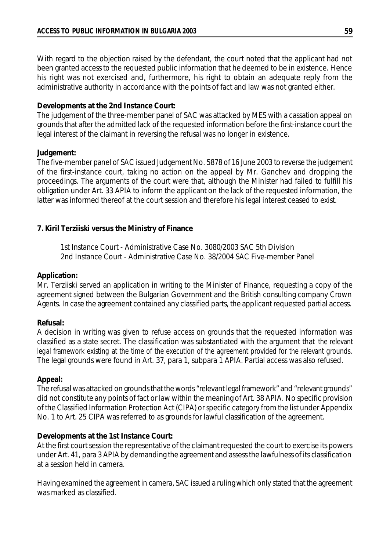With regard to the objection raised by the defendant, the court noted that the applicant had not been granted access to the requested public information that he deemed to be in existence. Hence his right was not exercised and, furthermore, his right to obtain an adequate reply from the administrative authority in accordance with the points of fact and law was not granted either.

#### **Developments at the 2nd Instance Court:**

The judgement of the three-member panel of SAC was attacked by MES with a cassation appeal on grounds that after the admitted lack of the requested information before the first-instance court the legal interest of the claimant in reversing the refusal was no longer in existence.

#### **Judgement:**

The five-member panel of SAC issued Judgement No. 5878 of 16 June 2003 to reverse the judgement of the first-instance court, taking no action on the appeal by Mr. Ganchev and dropping the proceedings. The arguments of the court were that, although the Minister had failed to fulfill his obligation under Art. 33 APIA to inform the applicant on the lack of the requested information, the latter was informed thereof at the court session and therefore his legal interest ceased to exist.

### **7. Kiril Terziiski versus the Ministry of Finance**

1st Instance Court - Administrative Case No. 3080/2003 SAC 5th Division 2nd Instance Court - Administrative Case No. 38/2004 SAC Five-member Panel

#### **Application:**

Mr. Terziiski served an application in writing to the Minister of Finance, requesting a copy of the agreement signed between the Bulgarian Government and the British consulting company Crown Agents. In case the agreement contained any classified parts, the applicant requested partial access.

#### **Refusal:**

A decision in writing was given to refuse access on grounds that the requested information was classified as a state secret. The classification was substantiated with the argument that *the relevant legal framework existing at the time of the execution of the agreement provided for the relevant grounds*. The legal grounds were found in Art. 37, para 1, subpara 1 APIA. Partial access was also refused.

#### **Appeal:**

The refusal was attacked on grounds that the words "relevant legal framework" and "relevant grounds" did not constitute any points of fact or law within the meaning of Art. 38 APIA. No specific provision of the Classified Information Protection Act (CIPA) or specific category from the list under Appendix No. 1 to Art. 25 CIPA was referred to as grounds for lawful classification of the agreement.

#### **Developments at the 1st Instance Court:**

At the first court session the representative of the claimant requested the court to exercise its powers under Art. 41, para 3 APIA by demanding the agreement and assess the lawfulness of its classification at a session held in camera.

Having examined the agreement in camera, SAC issued a ruling which only stated that the agreement was marked as classified.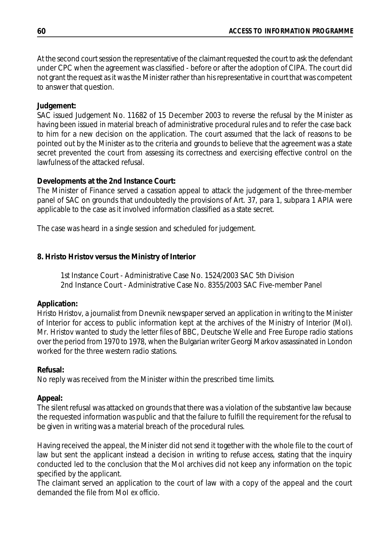At the second court session the representative of the claimant requested the court to ask the defendant under CPC when the agreement was classified - before or after the adoption of CIPA. The court did not grant the request as it was the Minister rather than his representative in court that was competent to answer that question.

### **Judgement:**

SAC issued Judgement No. 11682 of 15 December 2003 to reverse the refusal by the Minister as having been issued in material breach of administrative procedural rules and to refer the case back to him for a new decision on the application. The court assumed that the lack of reasons to be pointed out by the Minister as to the criteria and grounds to believe that the agreement was a state secret prevented the court from assessing its correctness and exercising effective control on the lawfulness of the attacked refusal.

## **Developments at the 2nd Instance Court:**

The Minister of Finance served a cassation appeal to attack the judgement of the three-member panel of SAC on grounds that undoubtedly the provisions of Art. 37, para 1, subpara 1 APIA were applicable to the case as it involved information classified as a state secret.

The case was heard in a single session and scheduled for judgement.

## **8. Hristo Hristov versus the Ministry of Interior**

1st Instance Court - Administrative Case No. 1524/2003 SAC 5th Division 2nd Instance Court - Administrative Case No. 8355/2003 SAC Five-member Panel

## **Application:**

Hristo Hristov, a journalist from Dnevnik newspaper served an application in writing to the Minister of Interior for access to public information kept at the archives of the Ministry of Interior (MoI). Mr. Hristov wanted to study the letter files of BBC, Deutsche Welle and Free Europe radio stations over the period from 1970 to 1978, when the Bulgarian writer Georgi Markov assassinated in London worked for the three western radio stations.

## **Refusal:**

No reply was received from the Minister within the prescribed time limits.

## **Appeal:**

The silent refusal was attacked on grounds that there was a violation of the substantive law because the requested information was public and that the failure to fulfill the requirement for the refusal to be given in writing was a material breach of the procedural rules.

Having received the appeal, the Minister did not send it together with the whole file to the court of law but sent the applicant instead a decision in writing to refuse access, stating that the inquiry conducted led to the conclusion that the MoI archives did not keep any information on the topic specified by the applicant.

The claimant served an application to the court of law with a copy of the appeal and the court demanded the file from MoI *ex officio*.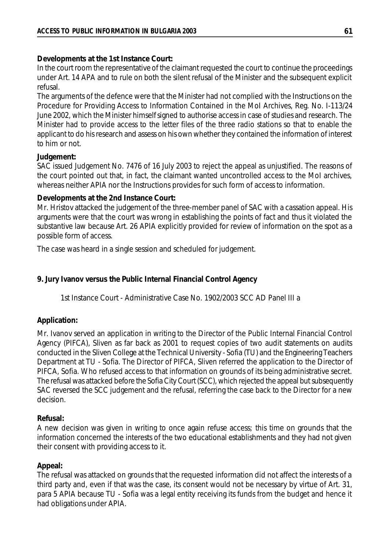**Developments at the 1st Instance Court:**

In the court room the representative of the claimant requested the court to continue the proceedings under Art. 14 APA and to rule on both the silent refusal of the Minister and the subsequent explicit refusal.

The arguments of the defence were that the Minister had not complied with the Instructions on the Procedure for Providing Access to Information Contained in the MoI Archives, Reg. No. I-113/24 June 2002, which the Minister himself signed to authorise access in case of studies and research. The Minister had to provide access to the letter files of the three radio stations so that to enable the applicant to do his research and assess on his own whether they contained the information of interest to him or not.

#### **Judgement:**

SAC issued Judgement No. 7476 of 16 July 2003 to reject the appeal as unjustified. The reasons of the court pointed out that, in fact, the claimant wanted uncontrolled access to the MoI archives, whereas neither APIA nor the Instructions provides for such form of access to information.

#### **Developments at the 2nd Instance Court:**

Mr. Hristov attacked the judgement of the three-member panel of SAC with a cassation appeal. His arguments were that the court was wrong in establishing the points of fact and thus it violated the substantive law because Art. 26 APIA explicitly provided for review of information on the spot as a possible form of access.

The case was heard in a single session and scheduled for judgement.

### **9. Jury Ivanov versus the Public Internal Financial Control Agency**

1st Instance Court - Administrative Case No. 1902/2003 SCC AD Panel III a

### **Application:**

Mr. Ivanov served an application in writing to the Director of the Public Internal Financial Control Agency (PIFCA), Sliven as far back as 2001 to request copies of two audit statements on audits conducted in the Sliven College at the Technical University - Sofia (TU) and the Engineering Teachers Department at TU - Sofia. The Director of PIFCA, Sliven referred the application to the Director of PIFCA, Sofia. Who refused access to that information on grounds of its being administrative secret. The refusal was attacked before the Sofia City Court (SCC), which rejected the appeal but subsequently SAC reversed the SCC judgement and the refusal, referring the case back to the Director for a new decision.

#### **Refusal:**

A new decision was given in writing to once again refuse access; this time on grounds that the information concerned the interests of the two educational establishments and they had not given their consent with providing access to it.

### **Appeal:**

The refusal was attacked on grounds that the requested information did not affect the interests of a third party and, even if that was the case, its consent would not be necessary by virtue of Art. 31, para 5 APIA because TU - Sofia was a legal entity receiving its funds from the budget and hence it had obligations under APIA.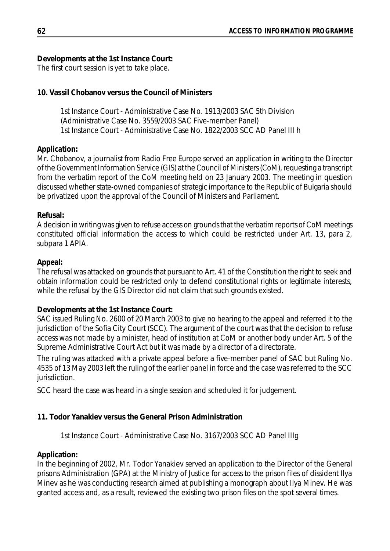**Developments at the 1st Instance Court:**

The first court session is yet to take place.

## **10. Vassil Chobanov versus the Council of Ministers**

1st Instance Court - Administrative Case No. 1913/2003 SAC 5th Division (Administrative Case No. 3559/2003 SAC Five-member Panel) 1st Instance Court - Administrative Case No. 1822/2003 SCC AD Panel III h

### **Application:**

Mr. Chobanov, a journalist from Radio Free Europe served an application in writing to the Director of the Government Information Service (GIS) at the Council of Ministers (CoM), requesting a transcript from the verbatim report of the CoM meeting held on 23 January 2003. The meeting in question discussed whether state-owned companies of strategic importance to the Republic of Bulgaria should be privatized upon the approval of the Council of Ministers and Parliament.

### **Refusal:**

A decision in writing was given to refuse access on grounds that the verbatim reports of CoM meetings constituted official information the access to which could be restricted under Art. 13, para 2, subpara 1 APIA.

### **Appeal:**

The refusal was attacked on grounds that pursuant to Art. 41 of the Constitution the right to seek and obtain information could be restricted only to defend constitutional rights or legitimate interests, while the refusal by the GIS Director did not claim that such grounds existed.

### **Developments at the 1st Instance Court:**

SAC issued Ruling No. 2600 of 20 March 2003 to give no hearing to the appeal and referred it to the jurisdiction of the Sofia City Court (SCC). The argument of the court was that the decision to refuse access was not made by a minister, head of institution at CoM or another body under Art. 5 of the Supreme Administrative Court Act but it was made by a director of a directorate.

The ruling was attacked with a private appeal before a five-member panel of SAC but Ruling No. 4535 of 13 May 2003 left the ruling of the earlier panel in force and the case was referred to the SCC jurisdiction.

SCC heard the case was heard in a single session and scheduled it for judgement.

## **11. Todor Yanakiev versus the General Prison Administration**

1st Instance Court - Administrative Case No. 3167/2003 SCC AD Panel IIIg

### **Application:**

In the beginning of 2002, Mr. Todor Yanakiev served an application to the Director of the General prisons Administration (GPA) at the Ministry of Justice for access to the prison files of dissident Ilya Minev as he was conducting research aimed at publishing a monograph about Ilya Minev. He was granted access and, as a result, reviewed the existing two prison files on the spot several times.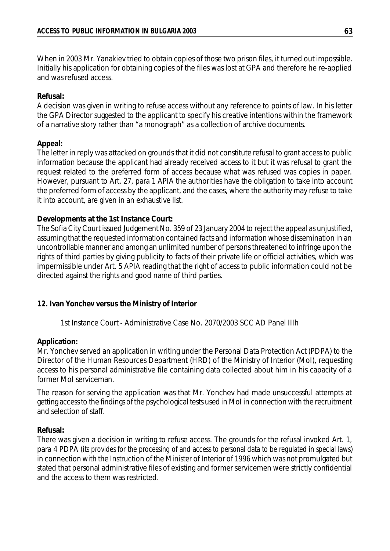When in 2003 Mr. Yanakiev tried to obtain copies of those two prison files, it turned out impossible. Initially his application for obtaining copies of the files was lost at GPA and therefore he re-applied and was refused access.

#### **Refusal:**

A decision was given in writing to refuse access without any reference to points of law. In his letter the GPA Director suggested to the applicant to specify his creative intentions within the framework of a narrative story rather than "a monograph" as a collection of archive documents.

### **Appeal:**

The letter in reply was attacked on grounds that it did not constitute refusal to grant access to public information because the applicant had already received access to it but it was refusal to grant the request related to the preferred form of access because what was refused was copies in paper. However, pursuant to Art. 27, para 1 APIA the authorities have the obligation to take into account the preferred form of access by the applicant, and the cases, where the authority may refuse to take it into account, are given in an exhaustive list.

#### **Developments at the 1st Instance Court:**

The Sofia City Court issued Judgement No. 359 of 23 January 2004 to reject the appeal as unjustified, assuming that the requested information contained facts and information whose dissemination in an uncontrollable manner and among an unlimited number of persons threatened to infringe upon the rights of third parties by giving publicity to facts of their private life or official activities, which was impermissible under Art. 5 APIA reading that the right of access to public information could not be directed against the rights and good name of third parties.

### **12. Ivan Yonchev versus the Ministry of Interior**

1st Instance Court - Administrative Case No. 2070/2003 SCC AD Panel IIIh

#### **Application:**

Mr. Yonchev served an application in writing under the Personal Data Protection Act (PDPA) to the Director of the Human Resources Department (HRD) of the Ministry of Interior (MoI), requesting access to his personal administrative file containing data collected about him in his capacity of a former MoI serviceman.

The reason for serving the application was that Mr. Yonchev had made unsuccessful attempts at getting accessto the findings of the psychological tests used in MoI in connection with the recruitment and selection of staff.

### **Refusal:**

There was given a decision in writing to refuse access. The grounds for the refusal invoked Art. 1, para 4 PDPA (its provides for the processing of and access to personal data to be regulated in special laws) in connection with the Instruction of the Minister of Interior of 1996 which was not promulgated but stated that personal administrative files of existing and former servicemen were strictly confidential and the access to them was restricted.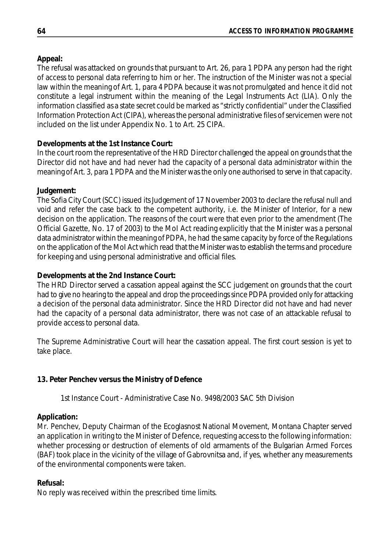## **Appeal:**

The refusal was attacked on grounds that pursuant to Art. 26, para 1 PDPA any person had the right of access to personal data referring to him or her. The instruction of the Minister was not a special law within the meaning of Art. 1, para 4 PDPA because it was not promulgated and hence it did not constitute a legal instrument within the meaning of the Legal Instruments Act (LIA). Only the information classified as a state secret could be marked as "strictly confidential" under the Classified Information Protection Act (CIPA), whereas the personal administrative files of servicemen were not included on the list under Appendix No. 1 to Art. 25 CIPA.

## **Developments at the 1st Instance Court:**

In the court room the representative of the HRD Director challenged the appeal on grounds that the Director did not have and had never had the capacity of a personal data administrator within the meaning of Art. 3, para 1 PDPA and the Minister was the only one authorised to serve in that capacity.

## **Judgement:**

The Sofia City Court (SCC) issued its Judgement of 17 November 2003 to declare the refusal null and void and refer the case back to the competent authority, i.e. the Minister of Interior, for a new decision on the application. The reasons of the court were that even prior to the amendment (The Official Gazette, No. 17 of 2003) to the MoI Act reading explicitly that the Minister was a personal data administrator within the meaning of PDPA, he had the same capacity by force of the Regulations on the application of the MoI Act which read that the Minister was to establish the terms and procedure for keeping and using personal administrative and official files.

### **Developments at the 2nd Instance Court:**

The HRD Director served a cassation appeal against the SCC judgement on grounds that the court had to give no hearing to the appeal and drop the proceedings since PDPA provided only for attacking a decision of the personal data administrator. Since the HRD Director did not have and had never had the capacity of a personal data administrator, there was not case of an attackable refusal to provide access to personal data.

The Supreme Administrative Court will hear the cassation appeal. The first court session is yet to take place.

## **13. Peter Penchev versus the Ministry of Defence**

1st Instance Court - Administrative Case No. 9498/2003 SAC 5th Division

### **Application:**

Mr. Penchev, Deputy Chairman of the Ecoglasnost National Movement, Montana Chapter served an application in writing to the Minister of Defence, requesting access to the following information: whether processing or destruction of elements of old armaments of the Bulgarian Armed Forces (BAF) took place in the vicinity of the village of Gabrovnitsa and, if yes, whether any measurements of the environmental components were taken.

### **Refusal:**

No reply was received within the prescribed time limits.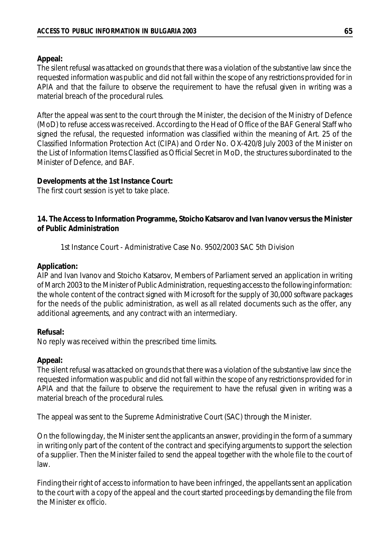#### **Appeal:**

The silent refusal was attacked on grounds that there was a violation of the substantive law since the requested information was public and did not fall within the scope of any restrictions provided for in APIA and that the failure to observe the requirement to have the refusal given in writing was a material breach of the procedural rules.

After the appeal was sent to the court through the Minister, the decision of the Ministry of Defence (MoD) to refuse access was received. According to the Head of Office of the BAF General Staff who signed the refusal, the requested information was classified within the meaning of Art. 25 of the Classified Information Protection Act (CIPA) and Order No. OX-420/8 July 2003 of the Minister on the List of Information Items Classified as Official Secret in MoD, the structures subordinated to the Minister of Defence, and BAF.

#### **Developments at the 1st Instance Court:**

The first court session is yet to take place.

**14. The Access to Information Programme, Stoicho Katsarov and Ivan Ivanov versus the Minister of Public Administration**

1st Instance Court - Administrative Case No. 9502/2003 SAC 5th Division

#### **Application:**

AIP and Ivan Ivanov and Stoicho Katsarov, Members of Parliament served an application in writing of March 2003 to the Minister of Public Administration, requesting accessto the following information: the whole content of the contract signed with Microsoft for the supply of 30,000 software packages for the needs of the public administration, as well as all related documents such as the offer, any additional agreements, and any contract with an intermediary.

### **Refusal:**

No reply was received within the prescribed time limits.

#### **Appeal:**

The silent refusal was attacked on grounds that there was a violation of the substantive law since the requested information was public and did not fall within the scope of any restrictions provided for in APIA and that the failure to observe the requirement to have the refusal given in writing was a material breach of the procedural rules.

The appeal was sent to the Supreme Administrative Court (SAC) through the Minister.

On the following day, the Minister sent the applicants an answer, providing in the form of a summary in writing only part of the content of the contract and specifying arguments to support the selection of a supplier. Then the Minister failed to send the appeal together with the whole file to the court of law.

Finding their right of access to information to have been infringed, the appellants sent an application to the court with a copy of the appeal and the court started proceedings by demanding the file from the Minister *ex officio*.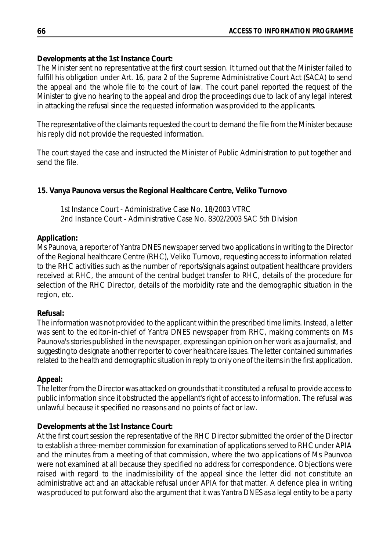## **Developments at the 1st Instance Court:**

The Minister sent no representative at the first court session. It turned out that the Minister failed to fulfill his obligation under Art. 16, para 2 of the Supreme Administrative Court Act (SACA) to send the appeal and the whole file to the court of law. The court panel reported the request of the Minister to give no hearing to the appeal and drop the proceedings due to lack of any legal interest in attacking the refusal since the requested information was provided to the applicants.

The representative of the claimants requested the court to demand the file from the Minister because his reply did not provide the requested information.

The court stayed the case and instructed the Minister of Public Administration to put together and send the file.

## **15. Vanya Paunova versus the Regional Healthcare Centre, Veliko Turnovo**

1st Instance Court - Administrative Case No. 18/2003 VTRC 2nd Instance Court - Administrative Case No. 8302/2003 SAC 5th Division

### **Application:**

Ms Paunova, a reporter of Yantra DNES newspaper served two applications in writing to the Director of the Regional healthcare Centre (RHC), Veliko Turnovo, requesting access to information related to the RHC activities such as the number of reports/signals against outpatient healthcare providers received at RHC, the amount of the central budget transfer to RHC, details of the procedure for selection of the RHC Director, details of the morbidity rate and the demographic situation in the region, etc.

### **Refusal:**

The information was not provided to the applicant within the prescribed time limits. Instead, a letter was sent to the editor-in-chief of Yantra DNES newspaper from RHC, making comments on Ms Paunova's stories published in the newspaper, expressing an opinion on her work as a journalist, and suggesting to designate another reporter to cover healthcare issues. The letter contained summaries related to the health and demographic situation in reply to only one of the items in the first application.

### **Appeal:**

The letter from the Director was attacked on grounds that it constituted a refusal to provide access to public information since it obstructed the appellant's right of access to information. The refusal was unlawful because it specified no reasons and no points of fact or law.

### **Developments at the 1st Instance Court:**

At the first court session the representative of the RHC Director submitted the order of the Director to establish a three-member commission for examination of applications served to RHC under APIA and the minutes from a meeting of that commission, where the two applications of Ms Paunvoa were not examined at all because they specified no address for correspondence. Objections were raised with regard to the inadmissibility of the appeal since the letter did not constitute an administrative act and an attackable refusal under APIA for that matter. A defence plea in writing was produced to put forward also the argument that it was Yantra DNES as a legal entity to be a party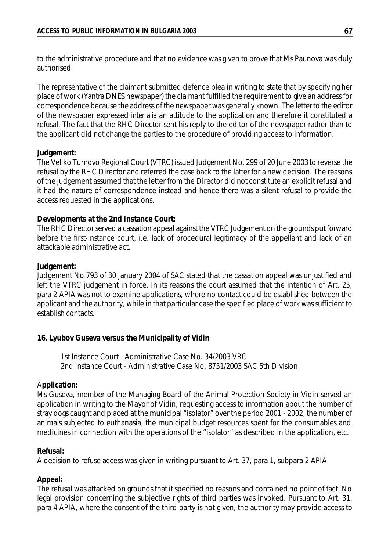to the administrative procedure and that no evidence was given to prove that Ms Paunova was duly authorised.

The representative of the claimant submitted defence plea in writing to state that by specifying her place of work (Yantra DNES newspaper) the claimant fulfilled the requirement to give an address for correspondence because the address of the newspaper was generally known. The letter to the editor of the newspaper expressed *inter alia* an attitude to the application and therefore it constituted a refusal. The fact that the RHC Director sent his reply to the editor of the newspaper rather than to the applicant did not change the parties to the procedure of providing access to information.

#### **Judgement:**

The Veliko Turnovo Regional Court (VTRC) issued Judgement No. 299 of 20 June 2003 to reverse the refusal by the RHC Director and referred the case back to the latter for a new decision. The reasons of the judgement assumed that the letter from the Director did not constitute an explicit refusal and it had the nature of correspondence instead and hence there was a silent refusal to provide the access requested in the applications.

#### **Developments at the 2nd Instance Court:**

The RHC Director served a cassation appeal against the VTRC Judgement on the grounds put forward before the first-instance court, i.e. lack of procedural legitimacy of the appellant and lack of an attackable administrative act.

#### **Judgement:**

Judgement No 793 of 30 January 2004 of SAC stated that the cassation appeal was unjustified and left the VTRC judgement in force. In its reasons the court assumed that the intention of Art. 25, para 2 APIA was not to examine applications, where no contact could be established between the applicant and the authority, while in that particular case the specified place of work was sufficient to establish contacts.

### **16. Lyubov Guseva versus the Municipality of Vidin**

1st Instance Court - Administrative Case No. 34/2003 VRC 2nd Instance Court - Administrative Case No. 8751/2003 SAC 5th Division

#### A**pplication:**

Ms Guseva, member of the Managing Board of the Animal Protection Society in Vidin served an application in writing to the Mayor of Vidin, requesting access to information about the number of stray dogs caught and placed at the municipal "isolator" over the period 2001 - 2002, the number of animals subjected to euthanasia, the municipal budget resources spent for the consumables and medicines in connection with the operations of the "isolator" as described in the application, etc.

### **Refusal:**

A decision to refuse access was given in writing pursuant to Art. 37, para 1, subpara 2 APIA.

### **Appeal:**

The refusal was attacked on grounds that it specified no reasons and contained no point of fact. No legal provision concerning the subjective rights of third parties was invoked. Pursuant to Art. 31, para 4 APIA, where the consent of the third party is not given, the authority may provide access to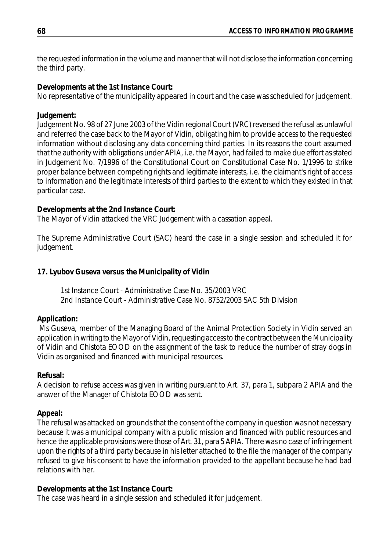the requested information in the volume and manner that will not disclose the information concerning the third party.

### **Developments at the 1st Instance Court:**

No representative of the municipality appeared in court and the case wasscheduled for judgement.

## **Judgement:**

Judgement No. 98 of 27 June 2003 of the Vidin regional Court (VRC) reversed the refusal as unlawful and referred the case back to the Mayor of Vidin, obligating him to provide access to the requested information without disclosing any data concerning third parties. In its reasons the court assumed that the authority with obligations under APIA, i.e. the Mayor, had failed to make due effort as stated in Judgement No. 7/1996 of the Constitutional Court on Constitutional Case No. 1/1996 to strike proper balance between competing rights and legitimate interests, i.e. the claimant's right of access to information and the legitimate interests of third parties to the extent to which they existed in that particular case.

## **Developments at the 2nd Instance Court:**

The Mayor of Vidin attacked the VRC Judgement with a cassation appeal.

The Supreme Administrative Court (SAC) heard the case in a single session and scheduled it for judgement.

## **17. Lyubov Guseva versus the Municipality of Vidin**

1st Instance Court - Administrative Case No. 35/2003 VRC 2nd Instance Court - Administrative Case No. 8752/2003 SAC 5th Division

## **Application:**

Ms Guseva, member of the Managing Board of the Animal Protection Society in Vidin served an application in writing to the Mayor of Vidin, requesting access to the contract between the Municipality of Vidin and Chistota EOOD on the assignment of the task to reduce the number of stray dogs in Vidin as organised and financed with municipal resources.

## **Refusal:**

A decision to refuse access was given in writing pursuant to Art. 37, para 1, subpara 2 APIA and the answer of the Manager of Chistota EOOD was sent.

## **Appeal:**

The refusal was attacked on grounds that the consent of the company in question was not necessary because it was a municipal company with a public mission and financed with public resources and hence the applicable provisions were those of Art. 31, para 5 APIA. There was no case of infringement upon the rights of a third party because in his letter attached to the file the manager of the company refused to give his consent to have the information provided to the appellant because he had bad relations with her.

## **Developments at the 1st Instance Court:**

The case was heard in a single session and scheduled it for judgement.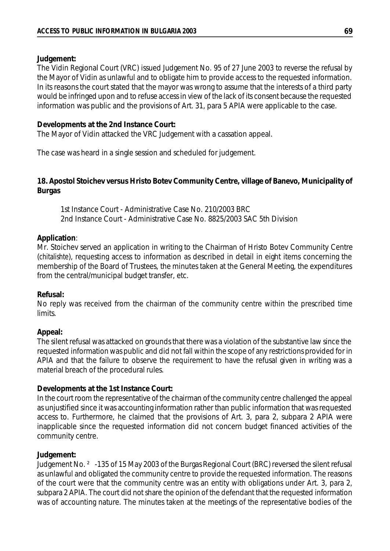### **Judgement:**

The Vidin Regional Court (VRC) issued Judgement No. 95 of 27 June 2003 to reverse the refusal by the Mayor of Vidin as unlawful and to obligate him to provide access to the requested information. In its reasons the court stated that the mayor was wrong to assume that the interests of a third party would be infringed upon and to refuse access in view of the lack of its consent because the requested information was public and the provisions of Art. 31, para 5 APIA were applicable to the case.

#### **Developments at the 2nd Instance Court:**

The Mayor of Vidin attacked the VRC Judgement with a cassation appeal.

The case was heard in a single session and scheduled for judgement.

### **18. Apostol Stoichev versus Hristo Botev Community Centre, village of Banevo, Municipality of Burgas**

1st Instance Court - Administrative Case No. 210/2003 BRC 2nd Instance Court - Administrative Case No. 8825/2003 SAC 5th Division

#### **Application**:

Mr. Stoichev served an application in writing to the Chairman of Hristo Botev Community Centre (*chitalishte*), requesting access to information as described in detail in eight items concerning the membership of the Board of Trustees, the minutes taken at the General Meeting, the expenditures from the central/municipal budget transfer, etc.

#### **Refusal:**

No reply was received from the chairman of the community centre within the prescribed time limits.

### **Appeal:**

The silent refusal was attacked on grounds that there was a violation of the substantive law since the requested information was public and did not fall within the scope of any restrictions provided for in APIA and that the failure to observe the requirement to have the refusal given in writing was a material breach of the procedural rules.

### **Developments at the 1st Instance Court:**

In the court room the representative of the chairman of the community centre challenged the appeal as unjustified since it was accounting information rather than public information that was requested access to. Furthermore, he claimed that the provisions of Art. 3, para 2, subpara 2 APIA were inapplicable since the requested information did not concern budget financed activities of the community centre.

### **Judgement:**

Judgement No. ²-135 of 15 May 2003 of the Burgas Regional Court (BRC) reversed the silent refusal as unlawful and obligated the community centre to provide the requested information. The reasons of the court were that the community centre was an entity with obligations under Art. 3, para 2, subpara 2 APIA. The court did not share the opinion of the defendant that the requested information was of accounting nature. The minutes taken at the meetings of the representative bodies of the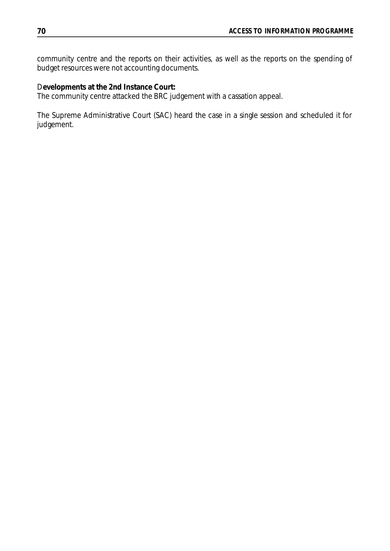community centre and the reports on their activities, as well as the reports on the spending of budget resources were not accounting documents.

D**evelopments at the 2nd Instance Court:**

The community centre attacked the BRC judgement with a cassation appeal.

The Supreme Administrative Court (SAC) heard the case in a single session and scheduled it for judgement.